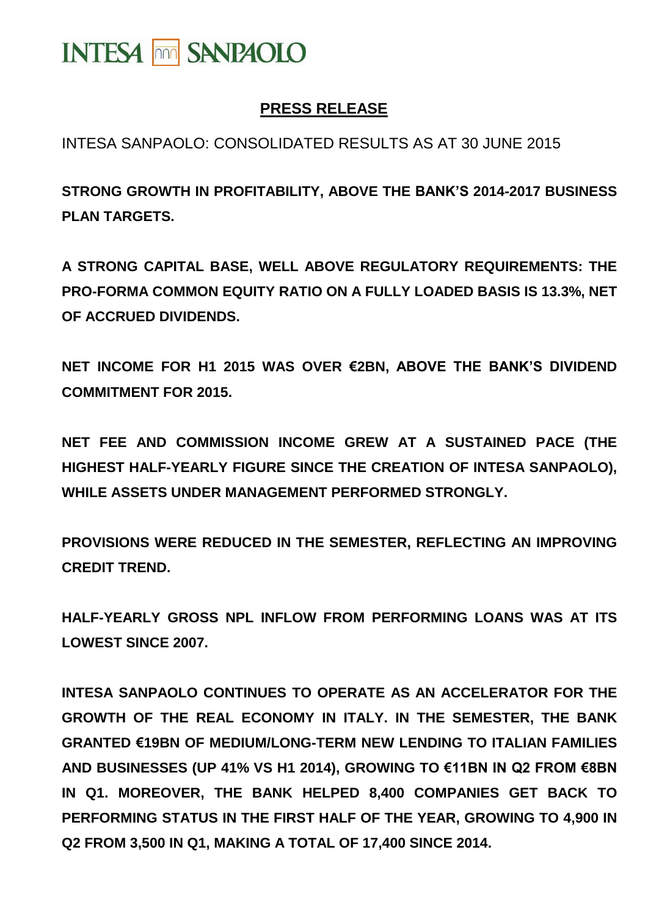# **INTESA <b>MM** SANPAOLO

## **PRESS RELEASE**

INTESA SANPAOLO: CONSOLIDATED RESULTS AS AT 30 JUNE 2015

**STRONG GROWTH IN PROFITABILITY, ABOVE THE BANK'S 2014-2017 BUSINESS PLAN TARGETS.**

**A STRONG CAPITAL BASE, WELL ABOVE REGULATORY REQUIREMENTS: THE PRO-FORMA COMMON EQUITY RATIO ON A FULLY LOADED BASIS IS 13.3%, NET OF ACCRUED DIVIDENDS.**

**NET INCOME FOR H1 2015 WAS OVER €2BN, ABOVE THE BANK'S DIVIDEND COMMITMENT FOR 2015.**

**NET FEE AND COMMISSION INCOME GREW AT A SUSTAINED PACE (THE HIGHEST HALF-YEARLY FIGURE SINCE THE CREATION OF INTESA SANPAOLO), WHILE ASSETS UNDER MANAGEMENT PERFORMED STRONGLY.**

**PROVISIONS WERE REDUCED IN THE SEMESTER, REFLECTING AN IMPROVING CREDIT TREND.**

**HALF-YEARLY GROSS NPL INFLOW FROM PERFORMING LOANS WAS AT ITS LOWEST SINCE 2007.**

**INTESA SANPAOLO CONTINUES TO OPERATE AS AN ACCELERATOR FOR THE GROWTH OF THE REAL ECONOMY IN ITALY. IN THE SEMESTER, THE BANK GRANTED €19BN OF MEDIUM/LONG-TERM NEW LENDING TO ITALIAN FAMILIES AND BUSINESSES (UP 41% VS H1 2014), GROWING TO €11BN IN Q2 FROM €8BN IN Q1. MOREOVER, THE BANK HELPED 8,400 COMPANIES GET BACK TO PERFORMING STATUS IN THE FIRST HALF OF THE YEAR, GROWING TO 4,900 IN Q2 FROM 3,500 IN Q1, MAKING A TOTAL OF 17,400 SINCE 2014.**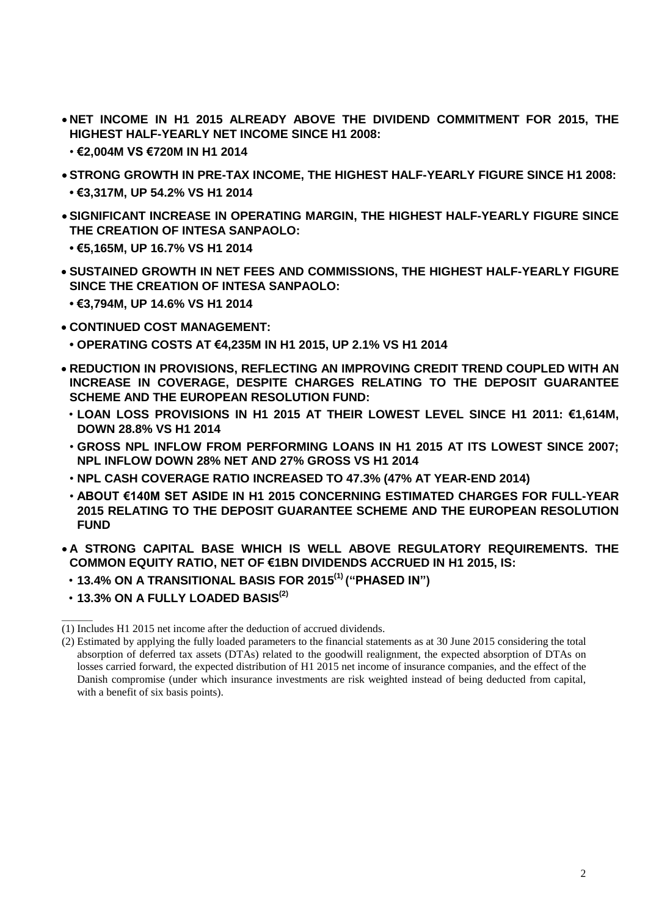- **NET INCOME IN H1 2015 ALREADY ABOVE THE DIVIDEND COMMITMENT FOR 2015, THE HIGHEST HALF-YEARLY NET INCOME SINCE H1 2008:**
	- **€2,004M VS €720M IN H1 2014**
- **STRONG GROWTH IN PRE-TAX INCOME, THE HIGHEST HALF-YEARLY FIGURE SINCE H1 2008: • €3,317M, UP 54.2% VS H1 2014**
- **SIGNIFICANT INCREASE IN OPERATING MARGIN, THE HIGHEST HALF-YEARLY FIGURE SINCE THE CREATION OF INTESA SANPAOLO:**
	- **€5,165M, UP 16.7% VS H1 2014**
- **SUSTAINED GROWTH IN NET FEES AND COMMISSIONS, THE HIGHEST HALF-YEARLY FIGURE SINCE THE CREATION OF INTESA SANPAOLO:**
	- **€3,794M, UP 14.6% VS H1 2014**
- **CONTINUED COST MANAGEMENT:**
	- **OPERATING COSTS AT €4,235M IN H1 2015, UP 2.1% VS H1 2014**
- **REDUCTION IN PROVISIONS, REFLECTING AN IMPROVING CREDIT TREND COUPLED WITH AN INCREASE IN COVERAGE, DESPITE CHARGES RELATING TO THE DEPOSIT GUARANTEE SCHEME AND THE EUROPEAN RESOLUTION FUND:**
	- **LOAN LOSS PROVISIONS IN H1 2015 AT THEIR LOWEST LEVEL SINCE H1 2011: €1,614M, DOWN 28.8% VS H1 2014**
	- **GROSS NPL INFLOW FROM PERFORMING LOANS IN H1 2015 AT ITS LOWEST SINCE 2007; NPL INFLOW DOWN 28% NET AND 27% GROSS VS H1 2014**
	- **NPL CASH COVERAGE RATIO INCREASED TO 47.3% (47% AT YEAR-END 2014)**
	- **ABOUT €140M SET ASIDE IN H1 2015 CONCERNING ESTIMATED CHARGES FOR FULL-YEAR 2015 RELATING TO THE DEPOSIT GUARANTEE SCHEME AND THE EUROPEAN RESOLUTION FUND**
- **A STRONG CAPITAL BASE WHICH IS WELL ABOVE REGULATORY REQUIREMENTS. THE COMMON EQUITY RATIO, NET OF €1BN DIVIDENDS ACCRUED IN H1 2015, IS:**
- **13.4% ON A TRANSITIONAL BASIS FOR 2015 (1) ("PHASED IN")**
- **13.3% ON A FULLY LOADED BASIS(2)**

\_\_\_\_\_\_\_

<sup>(1)</sup> Includes H1 2015 net income after the deduction of accrued dividends.

<sup>(2)</sup> Estimated by applying the fully loaded parameters to the financial statements as at 30 June 2015 considering the total absorption of deferred tax assets (DTAs) related to the goodwill realignment, the expected absorption of DTAs on losses carried forward, the expected distribution of H1 2015 net income of insurance companies, and the effect of the Danish compromise (under which insurance investments are risk weighted instead of being deducted from capital, with a benefit of six basis points).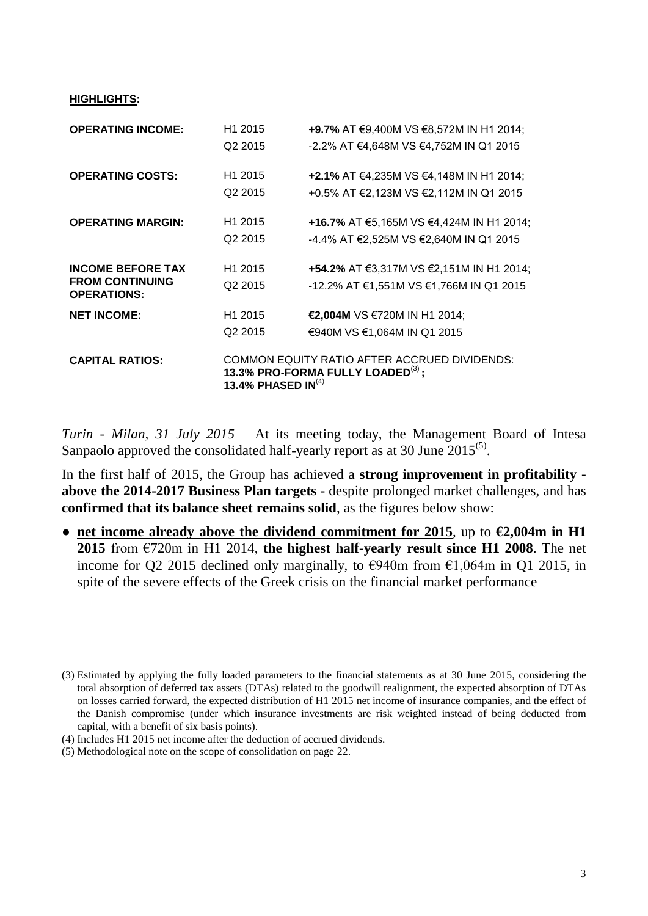**HIGHLIGHTS:**

| <b>OPERATING INCOME:</b>                     | H <sub>1</sub> 2015   | +9.7% AT €9,400M VS €8,572M IN H1 2014;                                                 |
|----------------------------------------------|-----------------------|-----------------------------------------------------------------------------------------|
|                                              | Q <sub>2</sub> 2015   | -2.2% AT €4,648M VS €4,752M IN Q1 2015                                                  |
| <b>OPERATING COSTS:</b>                      | H <sub>1</sub> 2015   | +2.1% AT €4,235M VS €4,148M IN H1 2014;                                                 |
|                                              | Q <sub>2</sub> 2015   | +0.5% AT €2,123M VS €2,112M IN Q1 2015                                                  |
| <b>OPERATING MARGIN:</b>                     | H <sub>1</sub> 2015   | +16.7% AT €5,165M VS €4,424M IN H1 2014;                                                |
|                                              | Q <sub>2</sub> 2015   | -4.4% AT €2,525M VS €2,640M IN Q1 2015                                                  |
| <b>INCOME BEFORE TAX</b>                     | H <sub>1</sub> 2015   | +54.2% AT €3,317M VS €2,151M IN H1 2014;                                                |
| <b>FROM CONTINUING</b><br><b>OPERATIONS:</b> | Q <sub>2</sub> 2015   | -12.2% AT €1,551M VS €1,766M IN Q1 2015                                                 |
| <b>NET INCOME:</b>                           | H <sub>1</sub> 2015   | €2,004M VS €720M IN H1 2014;                                                            |
|                                              | Q <sub>2</sub> 2015   | €940M VS €1,064M IN Q1 2015                                                             |
| <b>CAPITAL RATIOS:</b>                       | 13.4% PHASED IN $(4)$ | COMMON EQUITY RATIO AFTER ACCRUED DIVIDENDS:<br>13.3% PRO-FORMA FULLY LOADED $^{(3)}$ ; |

*Turin - Milan, 31 July 2015* – At its meeting today, the Management Board of Intesa Sanpaolo approved the consolidated half-yearly report as at 30 June  $2015^{(5)}$ .

In the first half of 2015, the Group has achieved a **strong improvement in profitability above the 2014-2017 Business Plan targets -** despite prolonged market challenges, and has **confirmed that its balance sheet remains solid**, as the figures below show:

**● net income already above the dividend commitment for 2015**, up to **€2,004m in H1 2015** from €720m in H1 2014, **the highest half-yearly result since H1 2008**. The net income for O2 2015 declined only marginally, to  $\epsilon$ 940m from  $\epsilon$ 1,064m in O1 2015, in spite of the severe effects of the Greek crisis on the financial market performance

\_\_\_\_\_\_\_\_\_\_\_\_\_\_\_\_\_\_\_\_\_\_

<sup>(3)</sup> Estimated by applying the fully loaded parameters to the financial statements as at 30 June 2015, considering the total absorption of deferred tax assets (DTAs) related to the goodwill realignment, the expected absorption of DTAs on losses carried forward, the expected distribution of H1 2015 net income of insurance companies, and the effect of the Danish compromise (under which insurance investments are risk weighted instead of being deducted from capital, with a benefit of six basis points).

<sup>(4)</sup> Includes H1 2015 net income after the deduction of accrued dividends.

<sup>(5)</sup> Methodological note on the scope of consolidation on page 22.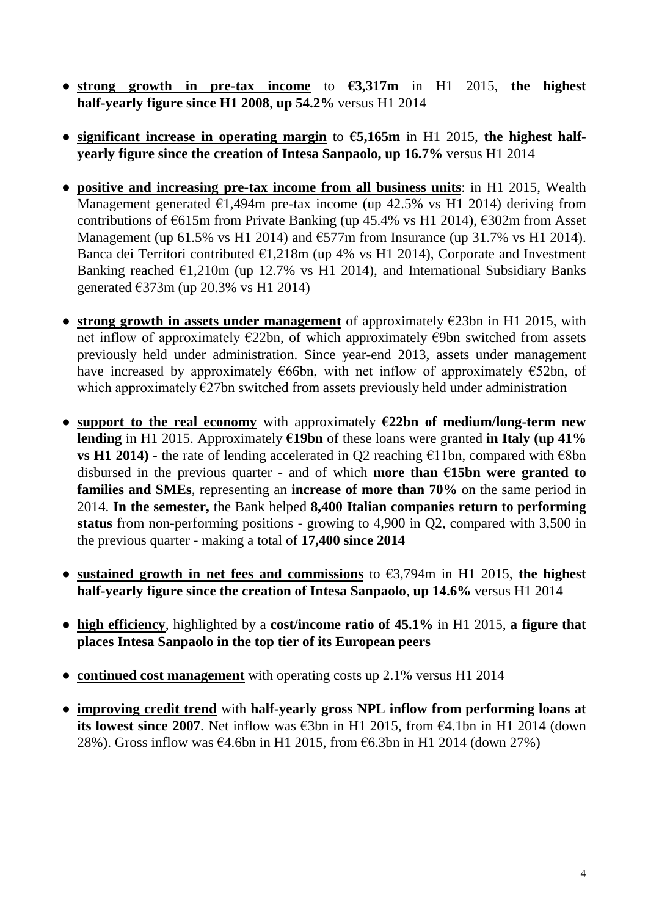- **● strong growth in pre-tax income** to **€3,317m** in H1 2015, **the highest half-yearly figure since H1 2008**, **up 54.2%** versus H1 2014
- **● significant increase in operating margin** to **€5,165m** in H1 2015, **the highest halfyearly figure since the creation of Intesa Sanpaolo, up 16.7%** versus H1 2014
- **● positive and increasing pre-tax income from all business units**: in H1 2015, Wealth Management generated  $\epsilon$ 1,494m pre-tax income (up 42.5% vs H1 2014) deriving from contributions of  $\epsilon$ 615m from Private Banking (up 45.4% vs H1 2014),  $\epsilon$ 302m from Asset Management (up 61.5% vs H1 2014) and  $\epsilon$ 577m from Insurance (up 31.7% vs H1 2014). Banca dei Territori contributed  $E1,218m$  (up 4% vs H1 2014), Corporate and Investment Banking reached  $\epsilon$ 1,210m (up 12.7% vs H1 2014), and International Subsidiary Banks generated €373m (up 20.3% vs H1 2014)
- **● strong growth in assets under management** of approximately €23bn in H1 2015, with net inflow of approximately €22bn, of which approximately €9bn switched from assets previously held under administration. Since year-end 2013, assets under management have increased by approximately  $\epsilon$ 66bn, with net inflow of approximately  $\epsilon$ 52bn, of which approximately  $E27$ bn switched from assets previously held under administration
- **support to the real economy** with approximately **€22bn of medium/long-term new lending** in H1 2015. Approximately **€19bn** of these loans were granted **in Italy (up 41% vs H1 2014) -** the rate of lending accelerated in Q2 reaching  $\epsilon$ 11bn, compared with  $\epsilon$ 8bn disbursed in the previous quarter - and of which **more than €15bn were granted to families and SMEs**, representing an **increase of more than 70%** on the same period in 2014. **In the semester,** the Bank helped **8,400 Italian companies return to performing status** from non-performing positions - growing to 4,900 in Q2, compared with 3,500 in the previous quarter - making a total of **17,400 since 2014**
- **● sustained growth in net fees and commissions** to €3,794m in H1 2015, **the highest half-yearly figure since the creation of Intesa Sanpaolo**, **up 14.6%** versus H1 2014
- **● high efficiency**, highlighted by a **cost/income ratio of 45.1%** in H1 2015, **a figure that places Intesa Sanpaolo in the top tier of its European peers**
- **● continued cost management** with operating costs up 2.1% versus H1 2014
- **● improving credit trend** with **half-yearly gross NPL inflow from performing loans at its lowest since 2007**. Net inflow was €3bn in H1 2015, from  $€4.1$ bn in H1 2014 (down 28%). Gross inflow was  $\epsilon$ 4.6bn in H1 2015, from  $\epsilon$ 6.3bn in H1 2014 (down 27%)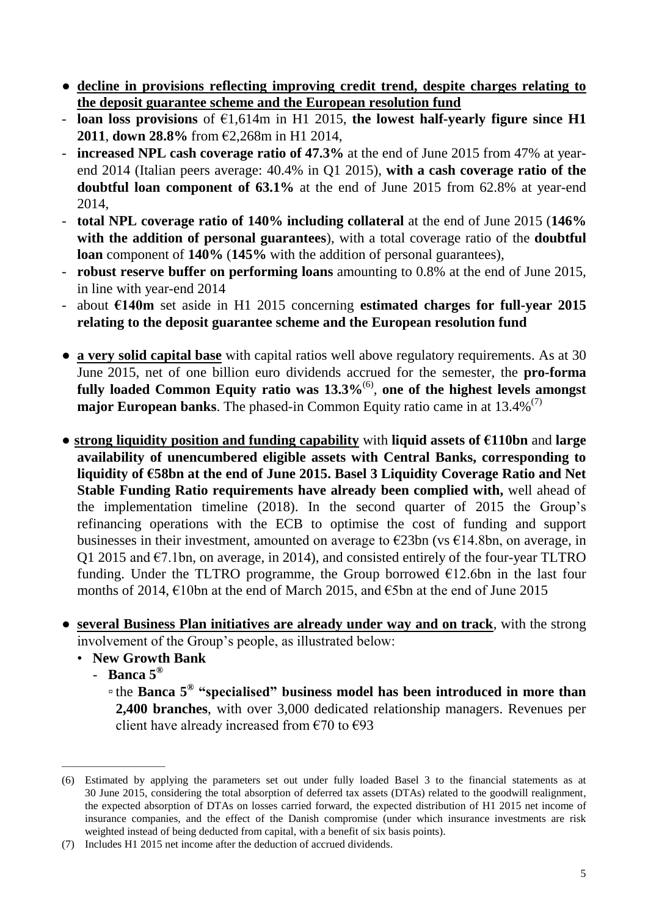- **● decline in provisions reflecting improving credit trend, despite charges relating to the deposit guarantee scheme and the European resolution fund**
- **loan loss provisions** of €1,614m in H1 2015, **the lowest half-yearly figure since H1 2011**, **down 28.8%** from €2,268m in H1 2014,
- **increased NPL cash coverage ratio of 47.3%** at the end of June 2015 from 47% at yearend 2014 (Italian peers average: 40.4% in Q1 2015), **with a cash coverage ratio of the doubtful loan component of 63.1%** at the end of June 2015 from 62.8% at year-end 2014,
- **total NPL coverage ratio of 140% including collateral** at the end of June 2015 (**146% with the addition of personal guarantees**), with a total coverage ratio of the **doubtful loan** component of **140%** (**145%** with the addition of personal guarantees),
- **robust reserve buffer on performing loans** amounting to 0.8% at the end of June 2015, in line with year-end 2014
- about **€140m** set aside in H1 2015 concerning **estimated charges for full-year 2015 relating to the deposit guarantee scheme and the European resolution fund**
- **a very solid capital base** with capital ratios well above regulatory requirements. As at 30 June 2015, net of one billion euro dividends accrued for the semester, the **pro-forma fully loaded Common Equity ratio was 13.3%**(6) , **one of the highest levels amongst major European banks**. The phased-in Common Equity ratio came in at 13.4%<sup>(7)</sup>
- **strong liquidity position and funding capability** with **liquid assets of €110bn** and **large availability of unencumbered eligible assets with Central Banks, corresponding to liquidity of €58bn at the end of June 2015. Basel 3 Liquidity Coverage Ratio and Net Stable Funding Ratio requirements have already been complied with,** well ahead of the implementation timeline (2018). In the second quarter of 2015 the Group's refinancing operations with the ECB to optimise the cost of funding and support businesses in their investment, amounted on average to  $\epsilon$ 23bn (vs  $\epsilon$ 14.8bn, on average, in Q1 2015 and  $\epsilon$ 7.1bn, on average, in 2014), and consisted entirely of the four-year TLTRO funding. Under the TLTRO programme, the Group borrowed  $E12.6$ bn in the last four months of 2014, €10bn at the end of March 2015, and €5bn at the end of June 2015
- **several Business Plan initiatives are already under way and on track**, with the strong involvement of the Group's people, as illustrated below:
	- **New Growth Bank**
		- **Banca 5®**

\_\_\_\_\_\_\_\_\_\_\_\_\_\_\_\_\_\_\_\_\_\_

▫ the **Banca 5® "specialised" business model has been introduced in more than 2,400 branches**, with over 3,000 dedicated relationship managers. Revenues per client have already increased from  $\epsilon$ 70 to  $\epsilon$ 93

<sup>(6)</sup> Estimated by applying the parameters set out under fully loaded Basel 3 to the financial statements as at 30 June 2015, considering the total absorption of deferred tax assets (DTAs) related to the goodwill realignment, the expected absorption of DTAs on losses carried forward, the expected distribution of H1 2015 net income of insurance companies, and the effect of the Danish compromise (under which insurance investments are risk weighted instead of being deducted from capital, with a benefit of six basis points).

<sup>(7)</sup> Includes H1 2015 net income after the deduction of accrued dividends.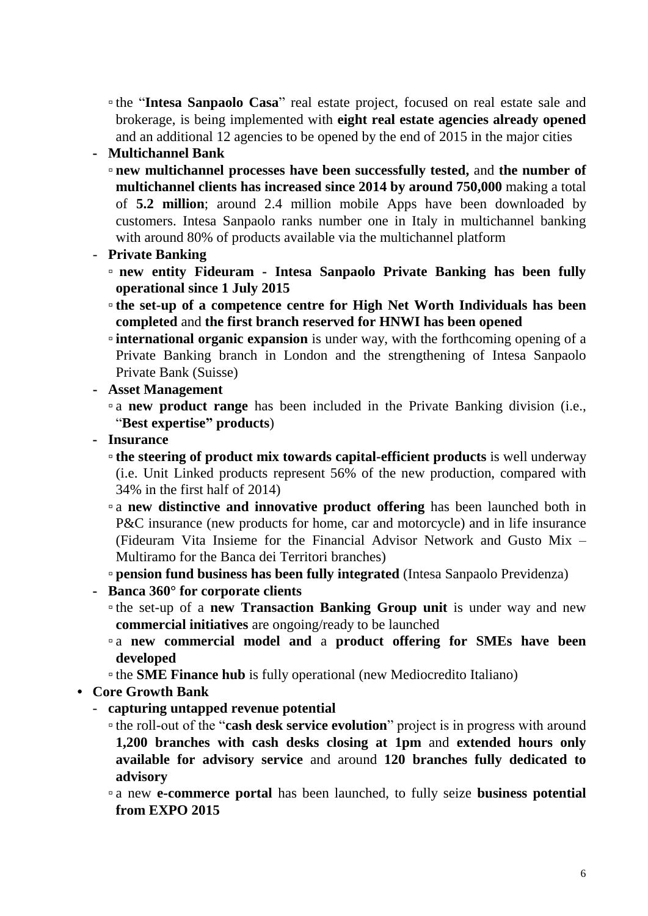▫ the "**Intesa Sanpaolo Casa**" real estate project, focused on real estate sale and brokerage, is being implemented with **eight real estate agencies already opened** and an additional 12 agencies to be opened by the end of 2015 in the major cities

### **- Multichannel Bank**

- **new multichannel processes have been successfully tested,** and **the number of multichannel clients has increased since 2014 by around 750,000** making a total of **5.2 million**; around 2.4 million mobile Apps have been downloaded by customers. Intesa Sanpaolo ranks number one in Italy in multichannel banking with around 80% of products available via the multichannel platform
- **Private Banking**
	- **new entity Fideuram - Intesa Sanpaolo Private Banking has been fully operational since 1 July 2015**
	- **the set-up of a competence centre for High Net Worth Individuals has been completed** and **the first branch reserved for HNWI has been opened**
	- **international organic expansion** is under way, with the forthcoming opening of a Private Banking branch in London and the strengthening of Intesa Sanpaolo Private Bank (Suisse)
- **- Asset Management**
	- a **new product range** has been included in the Private Banking division (i.e., "**Best expertise" products**)
- **- Insurance**
	- **the steering of product mix towards capital-efficient products** is well underway (i.e. Unit Linked products represent 56% of the new production, compared with 34% in the first half of 2014)
	- a **new distinctive and innovative product offering** has been launched both in P&C insurance (new products for home, car and motorcycle) and in life insurance (Fideuram Vita Insieme for the Financial Advisor Network and Gusto Mix – Multiramo for the Banca dei Territori branches)

▫ **pension fund business has been fully integrated** (Intesa Sanpaolo Previdenza)

- **- Banca 360° for corporate clients**
	- the set-up of a **new Transaction Banking Group unit** is under way and new **commercial initiatives** are ongoing/ready to be launched
	- a **new commercial model and** a **product offering for SMEs have been developed**
	- the **SME Finance hub** is fully operational (new Mediocredito Italiano)
- *•* **Core Growth Bank**
	- **capturing untapped revenue potential**
		- the roll-out of the "**cash desk service evolution**" project is in progress with around **1,200 branches with cash desks closing at 1pm** and **extended hours only available for advisory service** and around **120 branches fully dedicated to advisory**
		- a new **e-commerce portal** has been launched, to fully seize **business potential from EXPO 2015**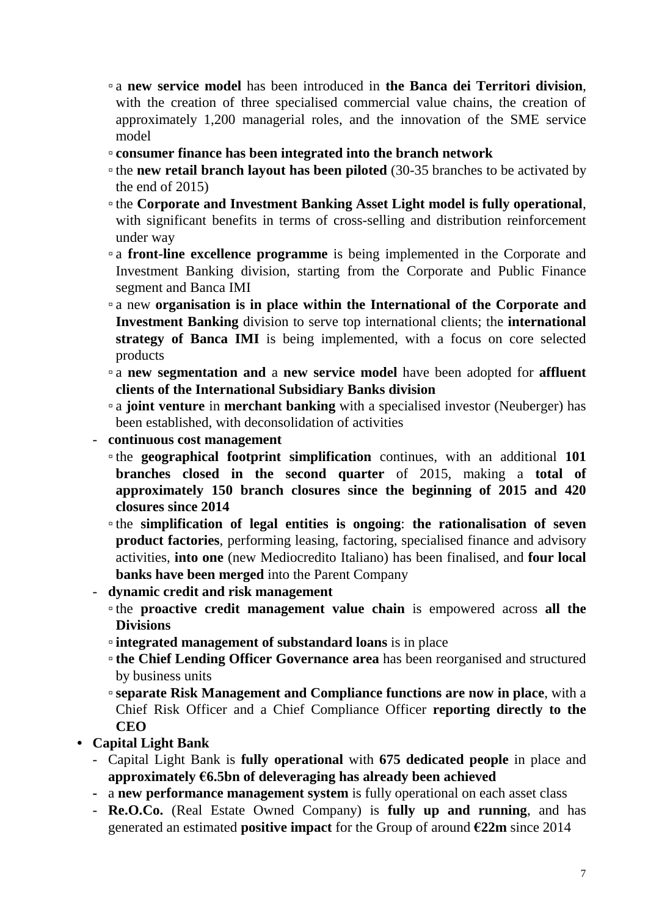- a **new service model** has been introduced in **the Banca dei Territori division**, with the creation of three specialised commercial value chains, the creation of approximately 1,200 managerial roles, and the innovation of the SME service model
- **consumer finance has been integrated into the branch network**
- the **new retail branch layout has been piloted** (30-35 branches to be activated by the end of 2015)
- the **Corporate and Investment Banking Asset Light model is fully operational**, with significant benefits in terms of cross-selling and distribution reinforcement under way
- a **front-line excellence programme** is being implemented in the Corporate and Investment Banking division, starting from the Corporate and Public Finance segment and Banca IMI
- a new **organisation is in place within the International of the Corporate and Investment Banking** division to serve top international clients; the **international strategy of Banca IMI** is being implemented, with a focus on core selected products
- a **new segmentation and** a **new service model** have been adopted for **affluent clients of the International Subsidiary Banks division**
- a **joint venture** in **merchant banking** with a specialised investor (Neuberger) has been established, with deconsolidation of activities
- **continuous cost management**
	- the **geographical footprint simplification** continues, with an additional **101 branches closed in the second quarter** of 2015, making a **total of approximately 150 branch closures since the beginning of 2015 and 420 closures since 2014**
	- the **simplification of legal entities is ongoing**: **the rationalisation of seven product factories**, performing leasing, factoring, specialised finance and advisory activities, **into one** (new Mediocredito Italiano) has been finalised, and **four local banks have been merged** into the Parent Company
- **dynamic credit and risk management**
	- the **proactive credit management value chain** is empowered across **all the Divisions**
	- **integrated management of substandard loans** is in place
	- **the Chief Lending Officer Governance area** has been reorganised and structured by business units
	- ▫**separate Risk Management and Compliance functions are now in place**, with a Chief Risk Officer and a Chief Compliance Officer **reporting directly to the CEO**
- **• Capital Light Bank**
	- Capital Light Bank is **fully operational** with **675 dedicated people** in place and **approximately €6.5bn of deleveraging has already been achieved**
	- **-** a **new performance management system** is fully operational on each asset class
	- **Re.O.Co.** (Real Estate Owned Company) is **fully up and running**, and has generated an estimated **positive impact** for the Group of around **€22m** since 2014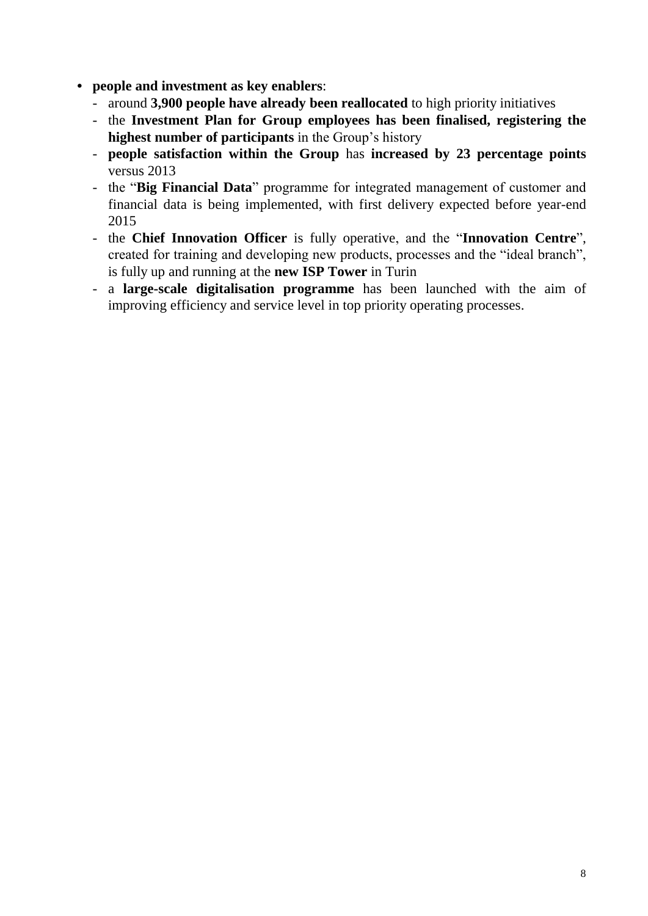- **• people and investment as key enablers**:
	- around **3,900 people have already been reallocated** to high priority initiatives
	- the **Investment Plan for Group employees has been finalised, registering the highest number of participants** in the Group's history
	- **people satisfaction within the Group** has **increased by 23 percentage points** versus 2013
	- the "**Big Financial Data**" programme for integrated management of customer and financial data is being implemented, with first delivery expected before year-end 2015
	- the **Chief Innovation Officer** is fully operative, and the "**Innovation Centre**", created for training and developing new products, processes and the "ideal branch", is fully up and running at the **new ISP Tower** in Turin
	- a **large-scale digitalisation programme** has been launched with the aim of improving efficiency and service level in top priority operating processes.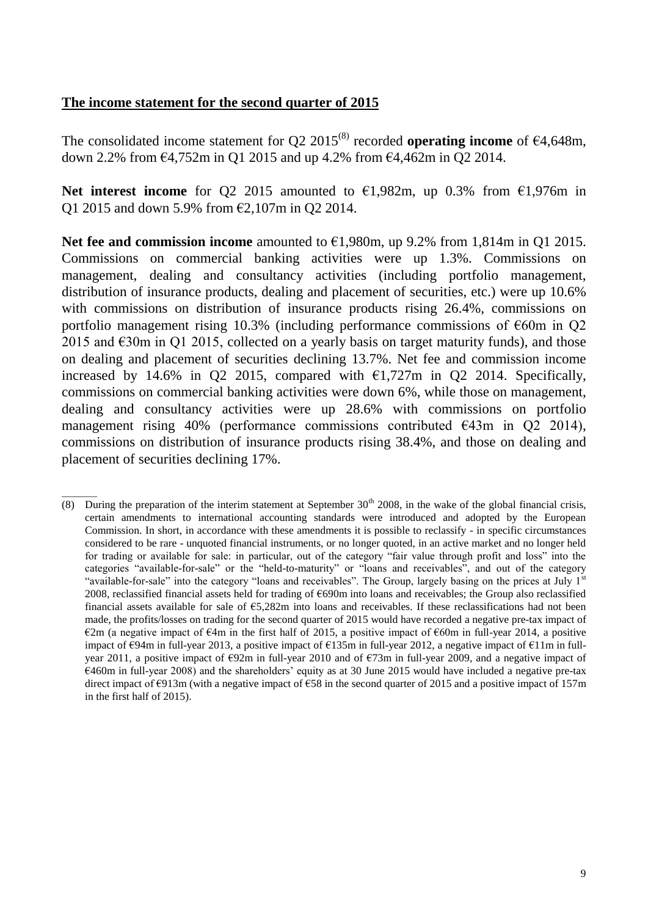#### **The income statement for the second quarter of 2015**

The consolidated income statement for Q2  $2015^{(8)}$  recorded **operating income** of  $\epsilon$ 4,648m, down 2.2% from €4,752m in Q1 2015 and up 4.2% from €4,462m in Q2 2014.

**Net interest income** for Q2 2015 amounted to €1,982m, up 0.3% from €1,976m in Q1 2015 and down 5.9% from €2,107m in Q2 2014.

**Net fee and commission income** amounted to €1,980m, up 9.2% from 1,814m in Q1 2015. Commissions on commercial banking activities were up 1.3%. Commissions on management, dealing and consultancy activities (including portfolio management, distribution of insurance products, dealing and placement of securities, etc.) were up 10.6% with commissions on distribution of insurance products rising 26.4%, commissions on portfolio management rising 10.3% (including performance commissions of  $\epsilon$ 60m in Q2 2015 and  $\epsilon$ 30m in Q1 2015, collected on a yearly basis on target maturity funds), and those on dealing and placement of securities declining 13.7%. Net fee and commission income increased by 14.6% in Q2 2015, compared with  $\epsilon$ 1,727m in Q2 2014. Specifically, commissions on commercial banking activities were down 6%, while those on management, dealing and consultancy activities were up 28.6% with commissions on portfolio management rising 40% (performance commissions contributed  $\epsilon$ 43m in Q2 2014), commissions on distribution of insurance products rising 38.4%, and those on dealing and placement of securities declining 17%.

\_\_\_\_\_\_\_\_ (8) During the preparation of the interim statement at September 30th 2008, in the wake of the global financial crisis, certain amendments to international accounting standards were introduced and adopted by the European Commission. In short, in accordance with these amendments it is possible to reclassify - in specific circumstances considered to be rare - unquoted financial instruments, or no longer quoted, in an active market and no longer held for trading or available for sale: in particular, out of the category "fair value through profit and loss" into the categories "available-for-sale" or the "held-to-maturity" or "loans and receivables", and out of the category "available-for-sale" into the category "loans and receivables". The Group, largely basing on the prices at July 1<sup>st</sup> 2008, reclassified financial assets held for trading of €690m into loans and receivables; the Group also reclassified financial assets available for sale of  $\epsilon$ 5,282m into loans and receivables. If these reclassifications had not been made, the profits/losses on trading for the second quarter of 2015 would have recorded a negative pre-tax impact of  $\epsilon$ 2m (a negative impact of  $\epsilon$ 4m in the first half of 2015, a positive impact of  $\epsilon$ 60m in full-year 2014, a positive impact of €94m in full-year 2013, a positive impact of €135m in full-year 2012, a negative impact of €11m in fullyear 2011, a positive impact of €92m in full-year 2010 and of €73m in full-year 2009, and a negative impact of  $6460m$  in full-year 2008) and the shareholders' equity as at 30 June 2015 would have included a negative pre-tax direct impact of  $\epsilon$ 913m (with a negative impact of  $\epsilon$ 58 in the second quarter of 2015 and a positive impact of 157m in the first half of 2015).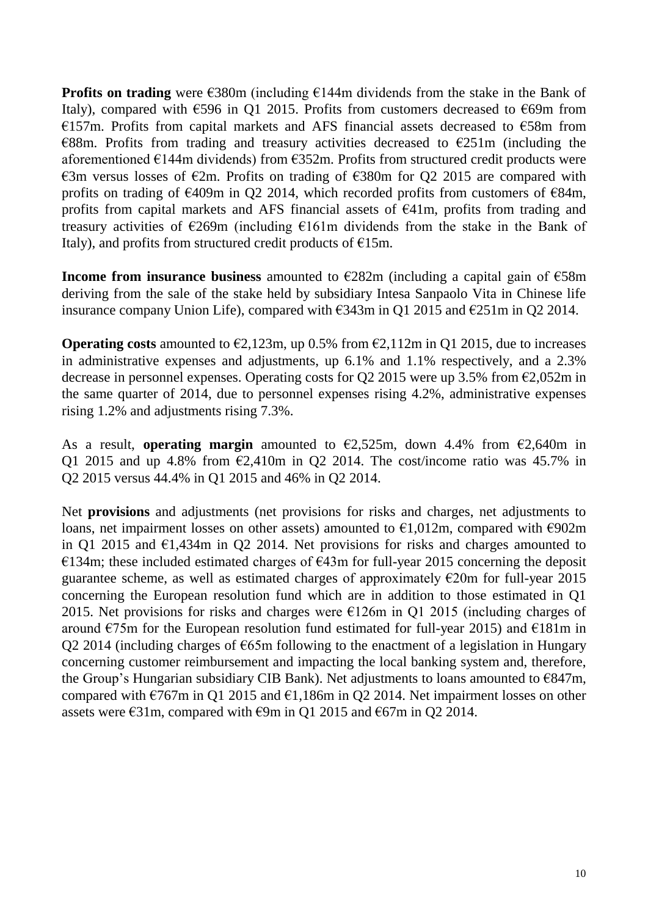**Profits on trading** were €380m (including €144m dividends from the stake in the Bank of Italy), compared with  $\epsilon$ 596 in Q1 2015. Profits from customers decreased to  $\epsilon$ 69m from €157m. Profits from capital markets and AFS financial assets decreased to €58m from  $E88m$ . Profits from trading and treasury activities decreased to  $E251m$  (including the aforementioned €144m dividends) from €352m. Profits from structured credit products were €3m versus losses of €2m. Profits on trading of €380m for Q2 2015 are compared with profits on trading of  $\epsilon$ 409m in Q2 2014, which recorded profits from customers of  $\epsilon$ 84m, profits from capital markets and AFS financial assets of €41m, profits from trading and treasury activities of €269m (including €161m dividends from the stake in the Bank of Italy), and profits from structured credit products of  $E15m$ .

**Income from insurance business** amounted to €282m (including a capital gain of €58m deriving from the sale of the stake held by subsidiary Intesa Sanpaolo Vita in Chinese life insurance company Union Life), compared with €343m in Q1 2015 and €251m in Q2 2014.

**Operating costs** amounted to  $\epsilon$ 2,123m, up 0.5% from  $\epsilon$ 2,112m in Q1 2015, due to increases in administrative expenses and adjustments, up 6.1% and 1.1% respectively, and a 2.3% decrease in personnel expenses. Operating costs for Q2 2015 were up 3.5% from  $\epsilon$ 2,052m in the same quarter of 2014, due to personnel expenses rising 4.2%, administrative expenses rising 1.2% and adjustments rising 7.3%.

As a result, **operating margin** amounted to  $\epsilon$ 2,525m, down 4.4% from  $\epsilon$ 2,640m in Q1 2015 and up 4.8% from  $\epsilon$ 2,410m in Q2 2014. The cost/income ratio was 45.7% in Q2 2015 versus 44.4% in Q1 2015 and 46% in Q2 2014.

Net **provisions** and adjustments (net provisions for risks and charges, net adjustments to loans, net impairment losses on other assets) amounted to  $\epsilon$ 1,012m, compared with  $\epsilon$ 902m in Q1 2015 and  $\epsilon$ 1,434m in Q2 2014. Net provisions for risks and charges amounted to €134m; these included estimated charges of  $€43m$  for full-year 2015 concerning the deposit guarantee scheme, as well as estimated charges of approximately  $\epsilon$ 20m for full-year 2015 concerning the European resolution fund which are in addition to those estimated in Q1 2015. Net provisions for risks and charges were  $E126m$  in Q1 2015 (including charges of around  $\epsilon$ 75m for the European resolution fund estimated for full-year 2015) and  $\epsilon$ 181m in Q2 2014 (including charges of  $\epsilon$ 65m following to the enactment of a legislation in Hungary concerning customer reimbursement and impacting the local banking system and, therefore, the Group's Hungarian subsidiary CIB Bank). Net adjustments to loans amounted to  $E$ 847m, compared with  $\epsilon$ 767m in Q1 2015 and  $\epsilon$ 1,186m in Q2 2014. Net impairment losses on other assets were €31m, compared with  $€9m$  in Q1 2015 and  $€67m$  in Q2 2014.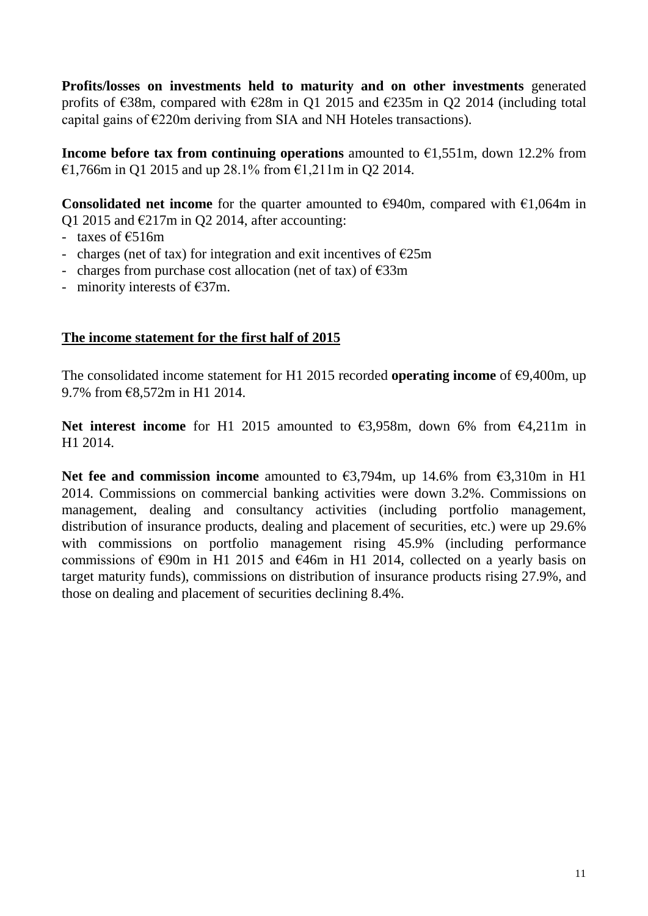**Profits/losses on investments held to maturity and on other investments** generated profits of  $\epsilon$ 38m, compared with  $\epsilon$ 28m in Q1 2015 and  $\epsilon$ 235m in Q2 2014 (including total capital gains of  $E220m$  deriving from SIA and NH Hoteles transactions).

**Income before tax from continuing operations** amounted to  $\epsilon$ 1,551m, down 12.2% from €1,766m in Q1 2015 and up 28.1% from €1,211m in Q2 2014.

**Consolidated net income** for the quarter amounted to  $\epsilon$ 940m, compared with  $\epsilon$ 1,064m in Q1 2015 and  $\epsilon$ 217m in Q2 2014, after accounting:

- taxes of  $£516m$
- charges (net of tax) for integration and exit incentives of  $E25m$
- charges from purchase cost allocation (net of tax) of  $\epsilon$ 33m
- minority interests of  $\epsilon$ 37m.

#### **The income statement for the first half of 2015**

The consolidated income statement for H1 2015 recorded **operating income** of €9,400m, up 9.7% from €8,572m in H1 2014.

**Net interest income** for H1 2015 amounted to €3,958m, down 6% from €4,211m in H1 2014.

**Net fee and commission income** amounted to €3,794m, up 14.6% from €3,310m in H1 2014. Commissions on commercial banking activities were down 3.2%. Commissions on management, dealing and consultancy activities (including portfolio management, distribution of insurance products, dealing and placement of securities, etc.) were up 29.6% with commissions on portfolio management rising 45.9% (including performance commissions of  $\epsilon$ 90m in H1 2015 and  $\epsilon$ 46m in H1 2014, collected on a yearly basis on target maturity funds), commissions on distribution of insurance products rising 27.9%, and those on dealing and placement of securities declining 8.4%.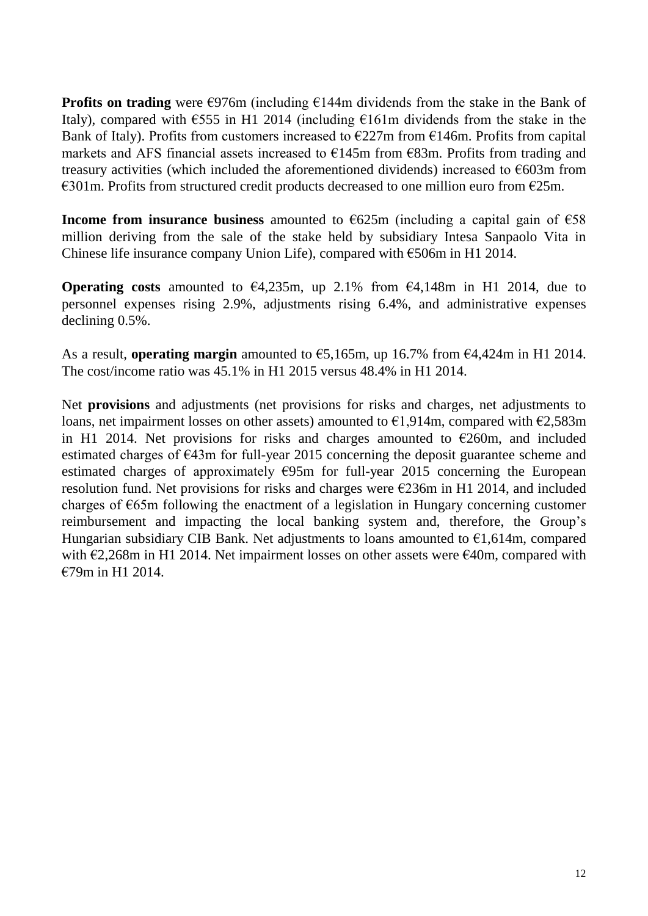**Profits on trading** were €976m (including €144m dividends from the stake in the Bank of Italy), compared with  $\epsilon$ 555 in H1 2014 (including  $\epsilon$ 161m dividends from the stake in the Bank of Italy). Profits from customers increased to  $\epsilon$ 227m from  $\epsilon$ 146m. Profits from capital markets and AFS financial assets increased to  $\epsilon$ 145m from  $\epsilon$ 83m. Profits from trading and treasury activities (which included the aforementioned dividends) increased to  $\epsilon$ 603m from  $\epsilon$ 301m. Profits from structured credit products decreased to one million euro from  $\epsilon$ 25m.

**Income from insurance business** amounted to  $\epsilon$ 625m (including a capital gain of  $\epsilon$ 58 million deriving from the sale of the stake held by subsidiary Intesa Sanpaolo Vita in Chinese life insurance company Union Life), compared with  $\epsilon$ 506m in H1 2014.

**Operating costs** amounted to  $\epsilon$ 4,235m, up 2.1% from  $\epsilon$ 4,148m in H1 2014, due to personnel expenses rising 2.9%, adjustments rising 6.4%, and administrative expenses declining 0.5%.

As a result, **operating margin** amounted to €5,165m, up 16.7% from €4,424m in H1 2014. The cost/income ratio was 45.1% in H1 2015 versus 48.4% in H1 2014.

Net **provisions** and adjustments (net provisions for risks and charges, net adjustments to loans, net impairment losses on other assets) amounted to  $\epsilon$ 1,914m, compared with  $\epsilon$ 2,583m in H1 2014. Net provisions for risks and charges amounted to  $\epsilon$ 260m, and included estimated charges of €43m for full-year 2015 concerning the deposit guarantee scheme and estimated charges of approximately  $\epsilon$ 95m for full-year 2015 concerning the European resolution fund. Net provisions for risks and charges were  $\epsilon$ 236m in H1 2014, and included charges of €65m following the enactment of a legislation in Hungary concerning customer reimbursement and impacting the local banking system and, therefore, the Group's Hungarian subsidiary CIB Bank. Net adjustments to loans amounted to  $\epsilon$ 1,614m, compared with  $\epsilon$ 2.268m in H1 2014. Net impairment losses on other assets were  $\epsilon$ 40m, compared with €79m in H1 2014.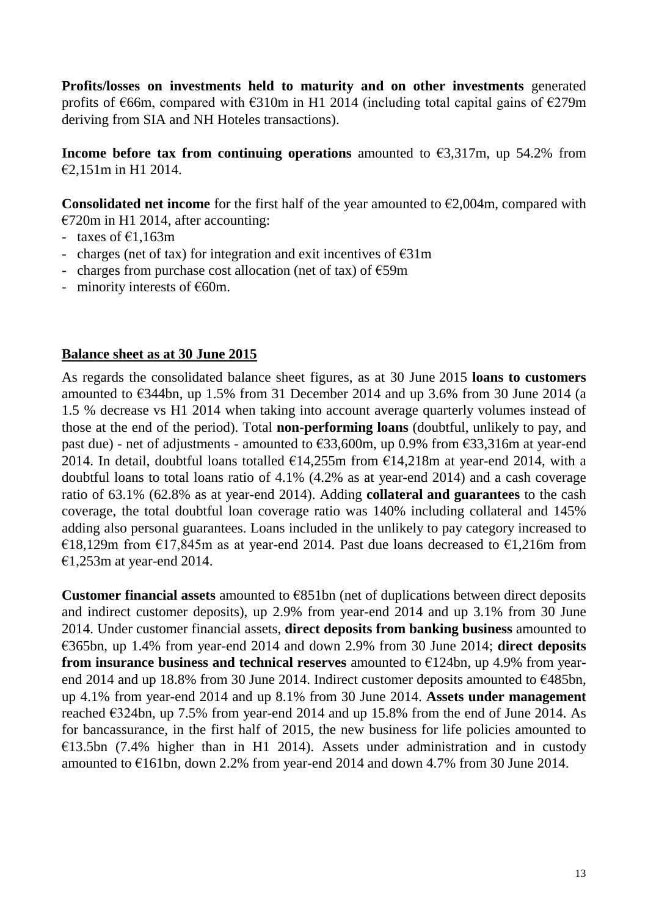**Profits/losses on investments held to maturity and on other investments** generated profits of  $\epsilon$ 66m, compared with  $\epsilon$ 310m in H1 2014 (including total capital gains of  $\epsilon$ 279m deriving from SIA and NH Hoteles transactions).

**Income before tax from continuing operations** amounted to  $\epsilon$ 3,317m, up 54.2% from €2,151m in H1 2014.

**Consolidated net income** for the first half of the year amounted to  $\epsilon$ 2,004m, compared with €720m in H1 2014, after accounting:

- taxes of  $£1.163m$
- charges (net of tax) for integration and exit incentives of  $\epsilon$ 31m
- charges from purchase cost allocation (net of tax) of  $\epsilon$ 59m
- minority interests of  $E60m$ .

### **Balance sheet as at 30 June 2015**

As regards the consolidated balance sheet figures, as at 30 June 2015 **loans to customers**  amounted to  $\epsilon$ 344bn, up 1.5% from 31 December 2014 and up 3.6% from 30 June 2014 (a 1.5 % decrease vs H1 2014 when taking into account average quarterly volumes instead of those at the end of the period). Total **non-performing loans** (doubtful, unlikely to pay, and past due) - net of adjustments - amounted to  $\epsilon$ 33,600m, up 0.9% from  $\epsilon$ 33,316m at year-end 2014. In detail, doubtful loans totalled  $\epsilon$ 14,255m from  $\epsilon$ 14,218m at year-end 2014, with a doubtful loans to total loans ratio of 4.1% (4.2% as at year-end 2014) and a cash coverage ratio of 63.1% (62.8% as at year-end 2014). Adding **collateral and guarantees** to the cash coverage, the total doubtful loan coverage ratio was 140% including collateral and 145% adding also personal guarantees. Loans included in the unlikely to pay category increased to €18,129m from €17,845m as at year-end 2014. Past due loans decreased to €1,216m from  $€1,253m$  at year-end 2014.

**Customer financial assets** amounted to €851bn (net of duplications between direct deposits and indirect customer deposits), up 2.9% from year-end 2014 and up 3.1% from 30 June 2014. Under customer financial assets, **direct deposits from banking business** amounted to €365bn, up 1.4% from year-end 2014 and down 2.9% from 30 June 2014; **direct deposits from insurance business and technical reserves** amounted to €124bn, up 4.9% from yearend 2014 and up 18.8% from 30 June 2014. Indirect customer deposits amounted to €485bn, up 4.1% from year-end 2014 and up 8.1% from 30 June 2014. **Assets under management** reached  $\epsilon$ 324bn, up 7.5% from year-end 2014 and up 15.8% from the end of June 2014. As for bancassurance, in the first half of 2015, the new business for life policies amounted to  $€13.5bn$  (7.4% higher than in H1 2014). Assets under administration and in custody amounted to €161bn, down 2.2% from year-end 2014 and down 4.7% from 30 June 2014.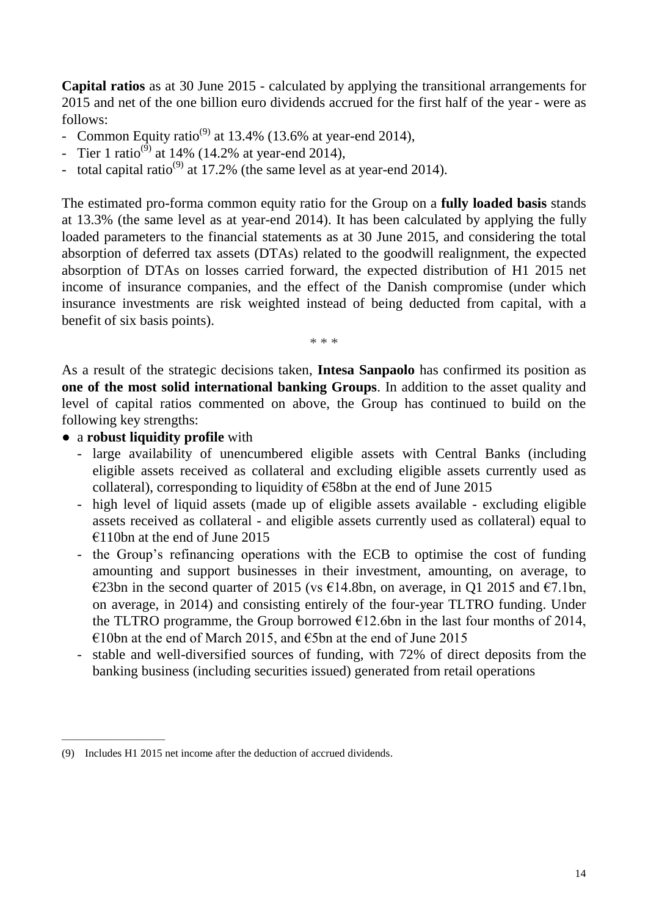**Capital ratios** as at 30 June 2015 - calculated by applying the transitional arrangements for 2015 and net of the one billion euro dividends accrued for the first half of the year - were as follows:

- Common Equity ratio<sup>(9)</sup> at 13.4% (13.6% at year-end 2014),
- Tier 1 ratio<sup>(9)</sup> at 14% (14.2% at year-end 2014),
- total capital ratio<sup>(9)</sup> at 17.2% (the same level as at year-end 2014).

The estimated pro-forma common equity ratio for the Group on a **fully loaded basis** stands at 13.3% (the same level as at year-end 2014). It has been calculated by applying the fully loaded parameters to the financial statements as at 30 June 2015, and considering the total absorption of deferred tax assets (DTAs) related to the goodwill realignment, the expected absorption of DTAs on losses carried forward, the expected distribution of H1 2015 net income of insurance companies, and the effect of the Danish compromise (under which insurance investments are risk weighted instead of being deducted from capital, with a benefit of six basis points).

\* \* \*

As a result of the strategic decisions taken, **Intesa Sanpaolo** has confirmed its position as **one of the most solid international banking Groups**. In addition to the asset quality and level of capital ratios commented on above, the Group has continued to build on the following key strengths:

#### ● a **robust liquidity profile** with

\_\_\_\_\_\_\_\_\_\_\_\_\_\_\_\_\_\_\_\_\_\_

- large availability of unencumbered eligible assets with Central Banks (including eligible assets received as collateral and excluding eligible assets currently used as collateral), corresponding to liquidity of  $\epsilon$ 58bn at the end of June 2015
- high level of liquid assets (made up of eligible assets available excluding eligible assets received as collateral - and eligible assets currently used as collateral) equal to  $\epsilon$ 110bn at the end of June 2015
- the Group's refinancing operations with the ECB to optimise the cost of funding amounting and support businesses in their investment, amounting, on average, to €23bn in the second quarter of 2015 (vs €14.8bn, on average, in Q1 2015 and €7.1bn, on average, in 2014) and consisting entirely of the four-year TLTRO funding. Under the TLTRO programme, the Group borrowed  $\epsilon$ 12.6bn in the last four months of 2014,  $\epsilon$ 10bn at the end of March 2015, and  $\epsilon$ 5bn at the end of June 2015
- stable and well-diversified sources of funding, with 72% of direct deposits from the banking business (including securities issued) generated from retail operations

<sup>(9)</sup> Includes H1 2015 net income after the deduction of accrued dividends.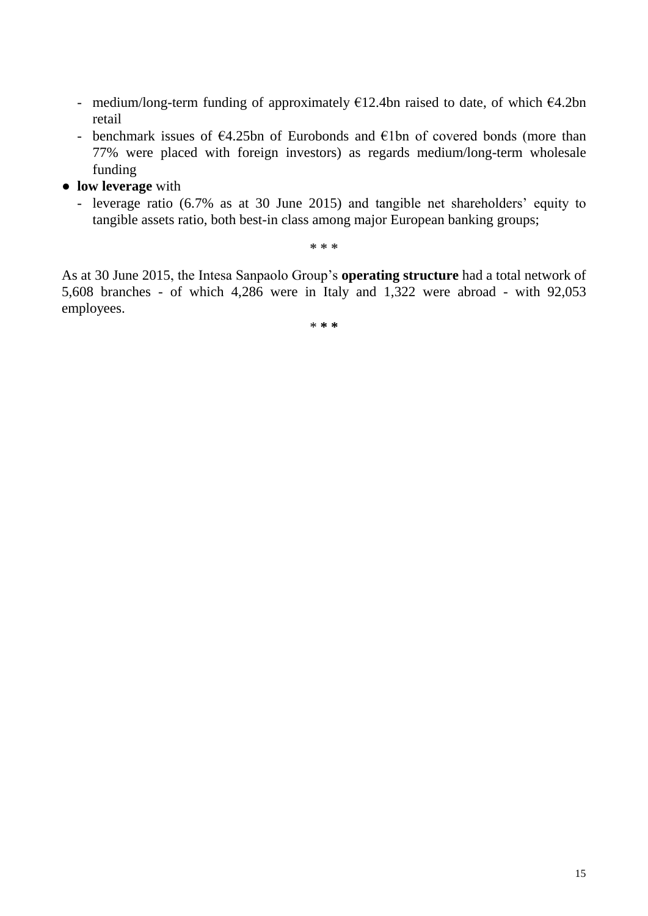- medium/long-term funding of approximately  $\epsilon$ 12.4bn raised to date, of which  $\epsilon$ 4.2bn retail
- benchmark issues of  $\epsilon$ 4.25bn of Eurobonds and  $\epsilon$ 1bn of covered bonds (more than 77% were placed with foreign investors) as regards medium/long-term wholesale funding
- **● low leverage** with
	- leverage ratio (6.7% as at 30 June 2015) and tangible net shareholders' equity to tangible assets ratio, both best-in class among major European banking groups;

**\* \* \***

As at 30 June 2015, the Intesa Sanpaolo Group's **operating structure** had a total network of 5,608 branches - of which 4,286 were in Italy and 1,322 were abroad - with 92,053 employees.

\* **\* \***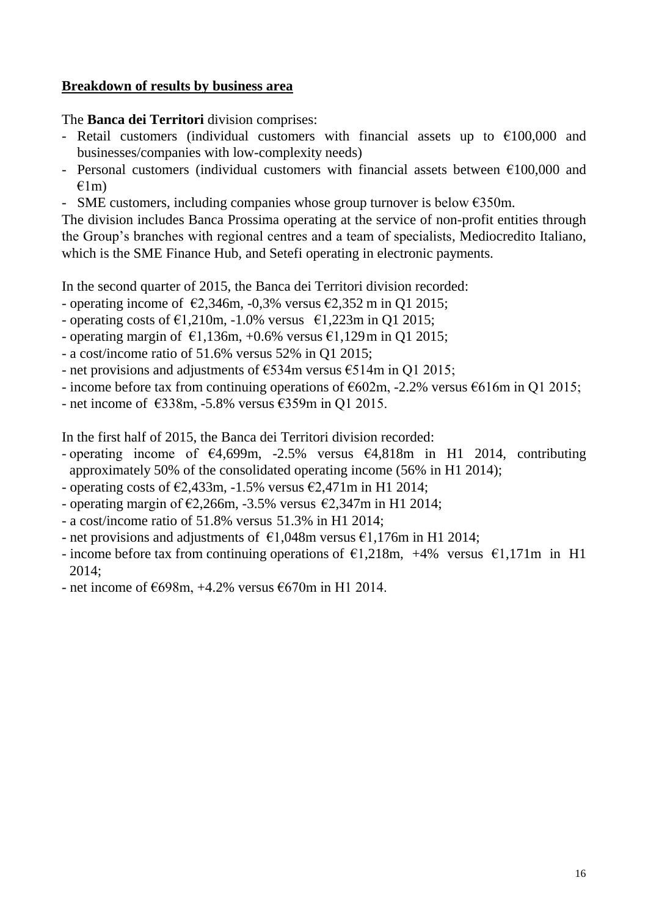#### **Breakdown of results by business area**

#### The **Banca dei Territori** division comprises:

- Retail customers (individual customers with financial assets up to  $\epsilon$ 100,000 and businesses/companies with low-complexity needs)
- Personal customers (individual customers with financial assets between  $\epsilon$ 100,000 and  $f(1m)$
- SME customers, including companies whose group turnover is below  $\epsilon$ 350m.

The division includes Banca Prossima operating at the service of non-profit entities through the Group's branches with regional centres and a team of specialists, Mediocredito Italiano, which is the SME Finance Hub, and Setefi operating in electronic payments.

In the second quarter of 2015, the Banca dei Territori division recorded:

- operating income of  $\epsilon$ 2,346m, -0,3% versus  $\epsilon$ 2,352 m in Q1 2015;
- operating costs of  $\epsilon$ 1,210m, -1.0% versus  $\epsilon$ 1,223m in O1 2015;
- operating margin of  $\epsilon$ 1,136m, +0.6% versus  $\epsilon$ 1,129m in Q1 2015;
- a cost/income ratio of 51.6% versus 52% in Q1 2015;
- net provisions and adjustments of  $\epsilon$ 534m versus  $\epsilon$ 514m in Q1 2015;
- income before tax from continuing operations of  $\epsilon$ 602m, -2.2% versus  $\epsilon$ 616m in O1 2015;
- net income of  $\epsilon$ 338m, -5.8% versus  $\epsilon$ 359m in Q1 2015.

In the first half of 2015, the Banca dei Territori division recorded:

- operating income of  $\epsilon$ 4,699m, -2.5% versus  $\epsilon$ 4,818m in H1 2014, contributing approximately 50% of the consolidated operating income (56% in H1 2014);

- operating costs of  $\epsilon$ 2,433m, -1.5% versus  $\epsilon$ 2,471m in H1 2014;

- operating margin of  $\epsilon$ 2,266m, -3.5% versus  $\epsilon$ 2,347m in H1 2014;
- a cost/income ratio of 51.8% versus 51.3% in H1 2014;
- net provisions and adjustments of  $\epsilon$ 1,048m versus  $\epsilon$ 1,176m in H1 2014;
- income before tax from continuing operations of  $\epsilon$ 1,218m, +4% versus  $\epsilon$ 1,171m in H1 2014;
- net income of  $698m$ , +4.2% versus  $670m$  in H1 2014.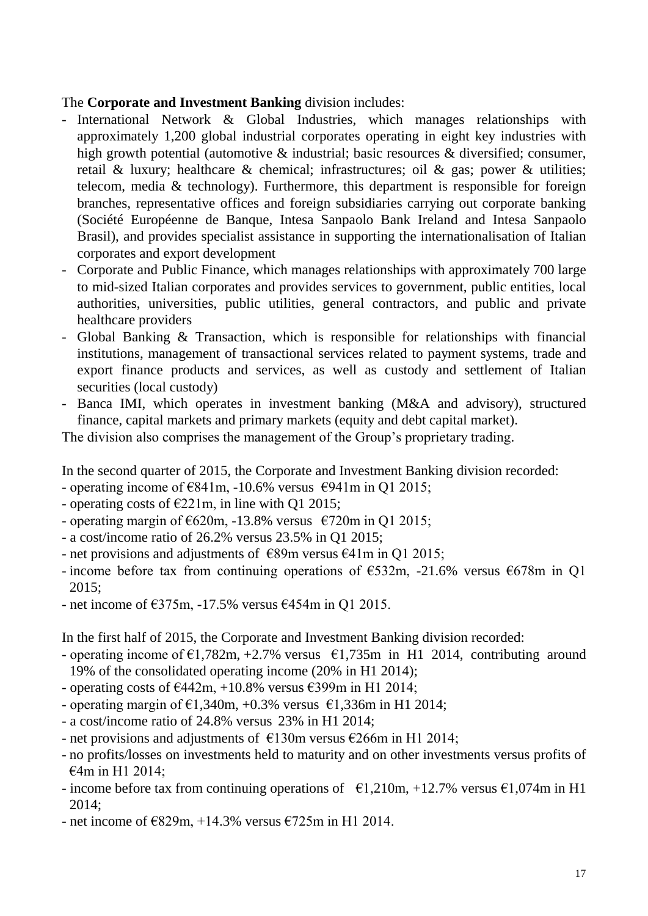### The **Corporate and Investment Banking** division includes:

- International Network & Global Industries, which manages relationships with approximately 1,200 global industrial corporates operating in eight key industries with high growth potential (automotive & industrial; basic resources & diversified; consumer, retail & luxury; healthcare & chemical; infrastructures; oil & gas; power & utilities; telecom, media & technology). Furthermore, this department is responsible for foreign branches, representative offices and foreign subsidiaries carrying out corporate banking (Société Européenne de Banque, Intesa Sanpaolo Bank Ireland and Intesa Sanpaolo Brasil), and provides specialist assistance in supporting the internationalisation of Italian corporates and export development
- Corporate and Public Finance, which manages relationships with approximately 700 large to mid-sized Italian corporates and provides services to government, public entities, local authorities, universities, public utilities, general contractors, and public and private healthcare providers
- Global Banking & Transaction, which is responsible for relationships with financial institutions, management of transactional services related to payment systems, trade and export finance products and services, as well as custody and settlement of Italian securities (local custody)
- Banca IMI, which operates in investment banking (M&A and advisory), structured finance, capital markets and primary markets (equity and debt capital market).

The division also comprises the management of the Group's proprietary trading.

In the second quarter of 2015, the Corporate and Investment Banking division recorded:

- operating income of  $E841m$ , -10.6% versus  $E941m$  in Q1 2015;
- operating costs of  $E221m$ , in line with Q1 2015;
- operating margin of  $620m$ , -13.8% versus  $6720m$  in Q1 2015;
- a cost/income ratio of 26.2% versus 23.5% in Q1 2015;
- net provisions and adjustments of  $\epsilon$ 89m versus  $\epsilon$ 41m in O1 2015;
- income before tax from continuing operations of  $\epsilon$ 532m, -21.6% versus  $\epsilon$ 678m in Q1 2015;
- net income of  $\epsilon$ 375m, -17.5% versus  $\epsilon$ 454m in Q1 2015.

In the first half of 2015, the Corporate and Investment Banking division recorded:

- operating income of  $\epsilon$ 1,782m, +2.7% versus  $\epsilon$ 1,735m in H1 2014, contributing around 19% of the consolidated operating income (20% in H1 2014);
- operating costs of  $\epsilon$ 442m, +10.8% versus  $\epsilon$ 399m in H1 2014;
- operating margin of  $\epsilon$ 1,340m, +0.3% versus  $\epsilon$ 1,336m in H1 2014;
- a cost/income ratio of 24.8% versus 23% in H1 2014;
- net provisions and adjustments of  $\epsilon$ 130m versus  $\epsilon$ 266m in H1 2014;
- no profits/losses on investments held to maturity and on other investments versus profits of €4m in H1 2014;
- income before tax from continuing operations of  $\epsilon$ 1,210m, +12.7% versus  $\epsilon$ 1,074m in H1 2014;
- net income of  $\epsilon$ 829m, +14.3% versus  $\epsilon$ 725m in H1 2014.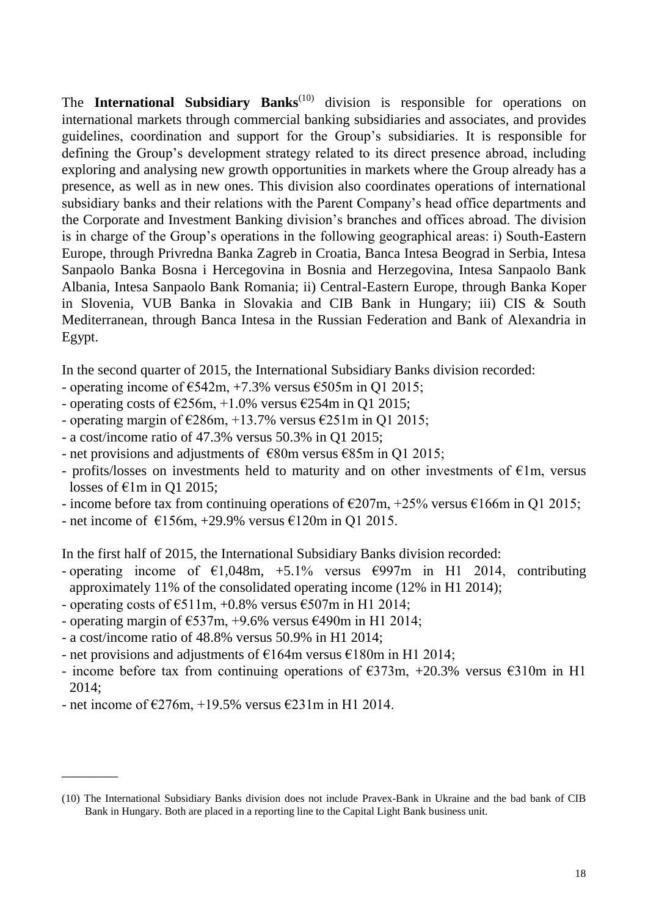The **International Subsidiary Banks**<sup>(10)</sup> division is responsible for operations on international markets through commercial banking subsidiaries and associates, and provides guidelines, coordination and support for the Group's subsidiaries. It is responsible for defining the Group's development strategy related to its direct presence abroad, including exploring and analysing new growth opportunities in markets where the Group already has a presence, as well as in new ones. This division also coordinates operations of international subsidiary banks and their relations with the Parent Company's head office departments and the Corporate and Investment Banking division's branches and offices abroad. The division is in charge of the Group's operations in the following geographical areas: i) South-Eastern Europe, through Privredna Banka Zagreb in Croatia, Banca Intesa Beograd in Serbia, Intesa Sanpaolo Banka Bosna i Hercegovina in Bosnia and Herzegovina, Intesa Sanpaolo Bank Albania, Intesa Sanpaolo Bank Romania; ii) Central-Eastern Europe, through Banka Koper in Slovenia, VUB Banka in Slovakia and CIB Bank in Hungary; iii) CIS & South Mediterranean, through Banca Intesa in the Russian Federation and Bank of Alexandria in Egypt.

In the second quarter of 2015, the International Subsidiary Banks division recorded:

- operating income of  $\epsilon$ 542m, +7.3% versus  $\epsilon$ 505m in O1 2015;
- operating costs of  $\epsilon$ 256m, +1.0% versus  $\epsilon$ 254m in Q1 2015;
- operating margin of  $\epsilon$ 286m, +13.7% versus  $\epsilon$ 251m in Q1 2015;
- a cost/income ratio of 47.3% versus 50.3% in Q1 2015;
- net provisions and adjustments of  $\epsilon$ 80m versus  $\epsilon$ 85m in Q1 2015;
- profits/losses on investments held to maturity and on other investments of  $\epsilon$ 1m, versus losses of  $\epsilon$ 1m in O1 2015;
- income before tax from continuing operations of  $\epsilon$ 207m, +25% versus  $\epsilon$ 166m in Q1 2015;
- net income of  $\epsilon$ 156m, +29.9% versus  $\epsilon$ 120m in Q1 2015.

In the first half of 2015, the International Subsidiary Banks division recorded:

- operating income of  $\epsilon$ 1,048m, +5.1% versus  $\epsilon$ 997m in H1 2014, contributing approximately 11% of the consolidated operating income (12% in H1 2014);
- operating costs of  $\epsilon$ 511m, +0.8% versus  $\epsilon$ 507m in H1 2014;
- operating margin of  $\text{\textsterling}537m$ , +9.6% versus  $\text{\textsterling}490m$  in H1 2014;
- a cost/income ratio of 48.8% versus 50.9% in H1 2014;
- net provisions and adjustments of  $\epsilon$ 164m versus  $\epsilon$ 180m in H1 2014;
- income before tax from continuing operations of  $\epsilon$ 373m, +20.3% versus  $\epsilon$ 310m in H1 2014;
- net income of  $\epsilon$ 276m, +19.5% versus  $\epsilon$ 231m in H1 2014.

\_\_\_\_\_\_\_\_

<sup>(10)</sup> The International Subsidiary Banks division does not include Pravex-Bank in Ukraine and the bad bank of CIB Bank in Hungary. Both are placed in a reporting line to the Capital Light Bank business unit.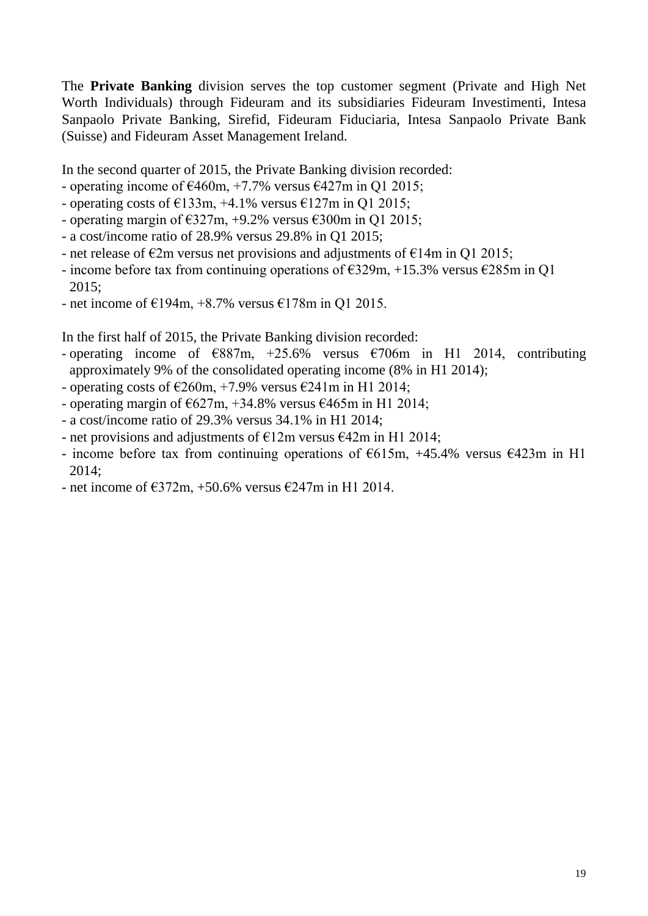The **Private Banking** division serves the top customer segment (Private and High Net Worth Individuals) through Fideuram and its subsidiaries Fideuram Investimenti, Intesa Sanpaolo Private Banking, Sirefid, Fideuram Fiduciaria, Intesa Sanpaolo Private Bank (Suisse) and Fideuram Asset Management Ireland.

In the second quarter of 2015, the Private Banking division recorded:

- operating income of  $\epsilon$ 460m, +7.7% versus  $\epsilon$ 427m in Q1 2015;
- operating costs of  $\epsilon$ 133m, +4.1% versus  $\epsilon$ 127m in Q1 2015;
- operating margin of  $\epsilon$ 327m, +9.2% versus  $\epsilon$ 300m in Q1 2015;
- a cost/income ratio of 28.9% versus 29.8% in Q1 2015;
- net release of  $\epsilon$ 2m versus net provisions and adjustments of  $\epsilon$ 14m in Q1 2015;
- income before tax from continuing operations of  $\epsilon$ 329m, +15.3% versus  $\epsilon$ 285m in Q1 2015;
- net income of  $\epsilon$ 194m, +8.7% versus  $\epsilon$ 178m in Q1 2015.

In the first half of 2015, the Private Banking division recorded:

- operating income of  $\epsilon$ 887m, +25.6% versus  $\epsilon$ 706m in H1 2014, contributing approximately 9% of the consolidated operating income (8% in H1 2014);
- operating costs of  $\epsilon$ 260m, +7.9% versus  $\epsilon$ 241m in H1 2014;
- operating margin of  $\epsilon$ 627m, +34.8% versus  $\epsilon$ 465m in H1 2014;
- a cost/income ratio of 29.3% versus 34.1% in H1 2014;
- net provisions and adjustments of  $E12m$  versus  $E42m$  in H1 2014;
- income before tax from continuing operations of  $\epsilon$ 615m, +45.4% versus  $\epsilon$ 423m in H1 2014;
- net income of  $\epsilon$ 372m, +50.6% versus  $\epsilon$ 247m in H1 2014.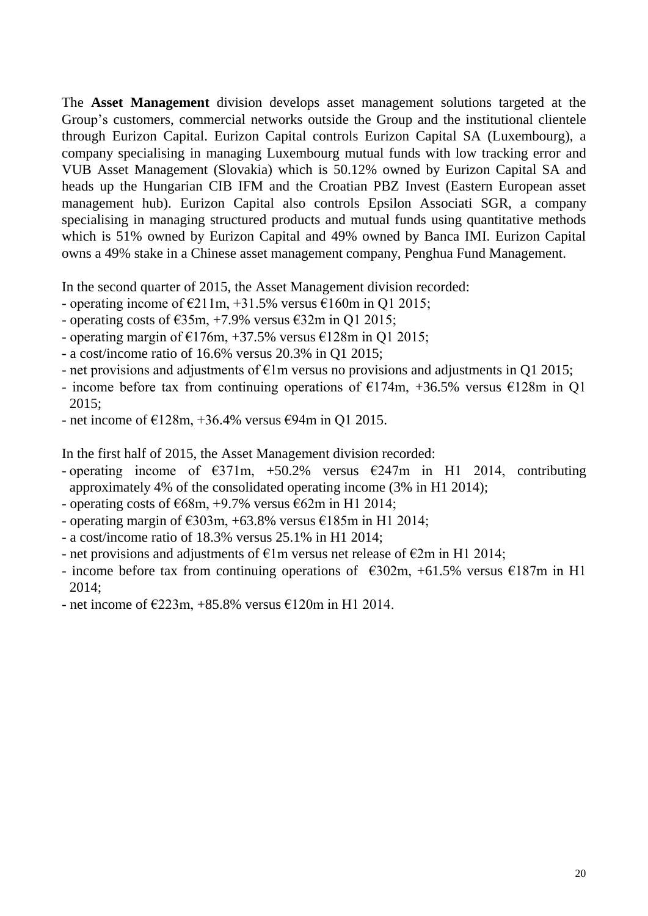The **Asset Management** division develops asset management solutions targeted at the Group's customers, commercial networks outside the Group and the institutional clientele through Eurizon Capital. Eurizon Capital controls Eurizon Capital SA (Luxembourg), a company specialising in managing Luxembourg mutual funds with low tracking error and VUB Asset Management (Slovakia) which is 50.12% owned by Eurizon Capital SA and heads up the Hungarian CIB IFM and the Croatian PBZ Invest (Eastern European asset management hub). Eurizon Capital also controls Epsilon Associati SGR, a company specialising in managing structured products and mutual funds using quantitative methods which is 51% owned by Eurizon Capital and 49% owned by Banca IMI. Eurizon Capital owns a 49% stake in a Chinese asset management company, Penghua Fund Management.

In the second quarter of 2015, the Asset Management division recorded:

- operating income of  $\epsilon$ 211m, +31.5% versus  $\epsilon$ 160m in Q1 2015;
- operating costs of  $\epsilon$ 35m, +7.9% versus  $\epsilon$ 32m in Q1 2015;
- operating margin of  $E176m$ , +37.5% versus  $E128m$  in Q1 2015;
- a cost/income ratio of 16.6% versus 20.3% in Q1 2015;
- net provisions and adjustments of  $\epsilon$ 1m versus no provisions and adjustments in Q1 2015;
- income before tax from continuing operations of  $E174m$ ,  $+36.5\%$  versus  $E128m$  in O1 2015;
- net income of  $E128m$ , +36.4% versus  $E94m$  in Q1 2015.

In the first half of 2015, the Asset Management division recorded:

- operating income of  $\epsilon$ 371m, +50.2% versus  $\epsilon$ 247m in H1 2014, contributing approximately 4% of the consolidated operating income (3% in H1 2014);
- operating costs of  $668m$ , +9.7% versus  $62m$  in H1 2014;
- operating margin of  $\text{\textsterling}303m$ , +63.8% versus  $\text{\textsterling}185m$  in H1 2014;
- a cost/income ratio of 18.3% versus 25.1% in H1 2014;
- net provisions and adjustments of  $\epsilon$ 1m versus net release of  $\epsilon$ 2m in H1 2014;
- income before tax from continuing operations of  $\epsilon$ 302m, +61.5% versus  $\epsilon$ 187m in H1 2014;
- net income of  $\epsilon$ 223m, +85.8% versus  $\epsilon$ 120m in H1 2014.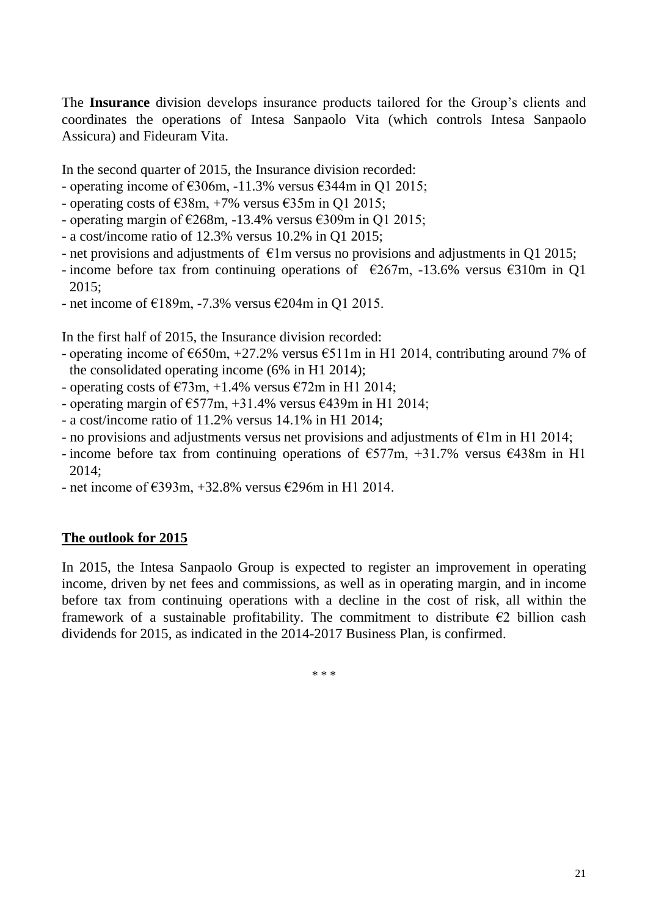The **Insurance** division develops insurance products tailored for the Group's clients and coordinates the operations of Intesa Sanpaolo Vita (which controls Intesa Sanpaolo Assicura) and Fideuram Vita.

In the second quarter of 2015, the Insurance division recorded:

- operating income of  $\epsilon$ 306m, -11.3% versus  $\epsilon$ 344m in Q1 2015;
- operating costs of  $\epsilon$ 38m, +7% versus  $\epsilon$ 35m in Q1 2015;
- operating margin of  $\epsilon$ 268m, -13.4% versus  $\epsilon$ 309m in Q1 2015;
- a cost/income ratio of 12.3% versus 10.2% in Q1 2015;
- net provisions and adjustments of  $\epsilon$ 1m versus no provisions and adjustments in Q1 2015;
- income before tax from continuing operations of  $\epsilon$ 267m, -13.6% versus  $\epsilon$ 310m in Q1 2015;
- net income of  $E189m$ , -7.3% versus  $E204m$  in Q1 2015.

In the first half of 2015, the Insurance division recorded:

- operating income of  $\epsilon$ 650m, +27.2% versus  $\epsilon$ 511m in H1 2014, contributing around 7% of the consolidated operating income (6% in H1 2014);
- operating costs of  $\epsilon$ 73m, +1.4% versus  $\epsilon$ 72m in H1 2014;
- operating margin of  $\epsilon$ 577m, +31.4% versus  $\epsilon$ 439m in H1 2014;
- a cost/income ratio of 11.2% versus 14.1% in H1 2014;
- no provisions and adjustments versus net provisions and adjustments of  $\epsilon$ 1m in H1 2014;
- income before tax from continuing operations of  $\epsilon$ 577m, +31.7% versus  $\epsilon$ 438m in H1 2014;
- net income of  $\epsilon$ 393m, +32.8% versus  $\epsilon$ 296m in H1 2014.

### **The outlook for 2015**

In 2015, the Intesa Sanpaolo Group is expected to register an improvement in operating income, driven by net fees and commissions, as well as in operating margin, and in income before tax from continuing operations with a decline in the cost of risk, all within the framework of a sustainable profitability. The commitment to distribute  $\epsilon$ 2 billion cash dividends for 2015, as indicated in the 2014-2017 Business Plan, is confirmed.

\* \* \*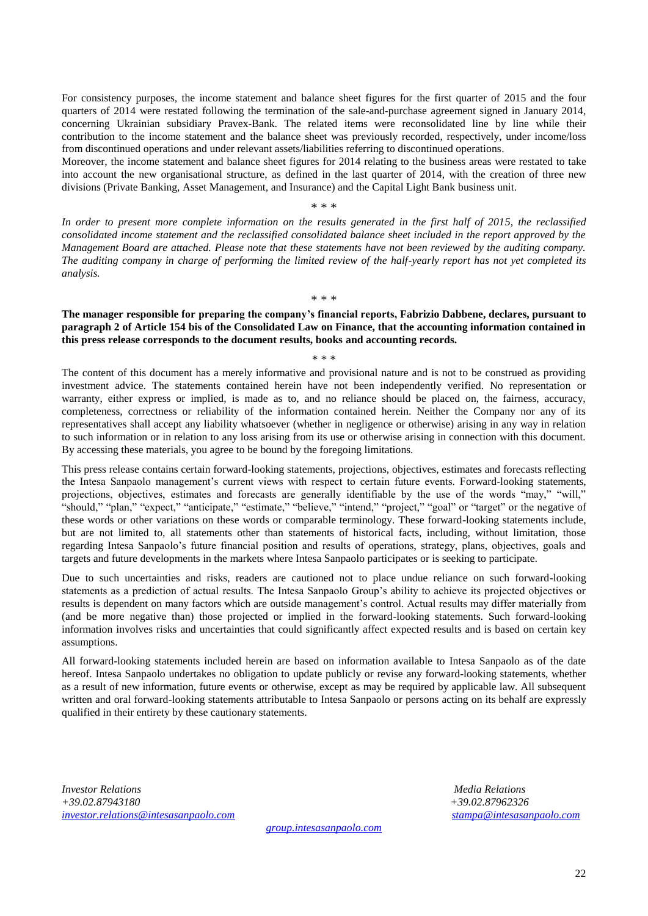For consistency purposes, the income statement and balance sheet figures for the first quarter of 2015 and the four quarters of 2014 were restated following the termination of the sale-and-purchase agreement signed in January 2014, concerning Ukrainian subsidiary Pravex-Bank. The related items were reconsolidated line by line while their contribution to the income statement and the balance sheet was previously recorded, respectively, under income/loss from discontinued operations and under relevant assets/liabilities referring to discontinued operations.

Moreover, the income statement and balance sheet figures for 2014 relating to the business areas were restated to take into account the new organisational structure, as defined in the last quarter of 2014, with the creation of three new divisions (Private Banking, Asset Management, and Insurance) and the Capital Light Bank business unit.

\* \* \*

*In order to present more complete information on the results generated in the first half of 2015, the reclassified consolidated income statement and the reclassified consolidated balance sheet included in the report approved by the Management Board are attached. Please note that these statements have not been reviewed by the auditing company. The auditing company in charge of performing the limited review of the half-yearly report has not yet completed its analysis.*

\* \* \*

#### **The manager responsible for preparing the company's financial reports, Fabrizio Dabbene, declares, pursuant to paragraph 2 of Article 154 bis of the Consolidated Law on Finance, that the accounting information contained in this press release corresponds to the document results, books and accounting records.**

\* \* \*

The content of this document has a merely informative and provisional nature and is not to be construed as providing investment advice. The statements contained herein have not been independently verified. No representation or warranty, either express or implied, is made as to, and no reliance should be placed on, the fairness, accuracy, completeness, correctness or reliability of the information contained herein. Neither the Company nor any of its representatives shall accept any liability whatsoever (whether in negligence or otherwise) arising in any way in relation to such information or in relation to any loss arising from its use or otherwise arising in connection with this document. By accessing these materials, you agree to be bound by the foregoing limitations.

This press release contains certain forward-looking statements, projections, objectives, estimates and forecasts reflecting the Intesa Sanpaolo management's current views with respect to certain future events. Forward-looking statements, projections, objectives, estimates and forecasts are generally identifiable by the use of the words "may," "will," "should," "plan," "expect," "anticipate," "estimate," "believe," "intend," "project," "goal" or "target" or the negative of these words or other variations on these words or comparable terminology. These forward-looking statements include, but are not limited to, all statements other than statements of historical facts, including, without limitation, those regarding Intesa Sanpaolo's future financial position and results of operations, strategy, plans, objectives, goals and targets and future developments in the markets where Intesa Sanpaolo participates or is seeking to participate.

Due to such uncertainties and risks, readers are cautioned not to place undue reliance on such forward-looking statements as a prediction of actual results. The Intesa Sanpaolo Group's ability to achieve its projected objectives or results is dependent on many factors which are outside management's control. Actual results may differ materially from (and be more negative than) those projected or implied in the forward-looking statements. Such forward-looking information involves risks and uncertainties that could significantly affect expected results and is based on certain key assumptions.

All forward-looking statements included herein are based on information available to Intesa Sanpaolo as of the date hereof. Intesa Sanpaolo undertakes no obligation to update publicly or revise any forward-looking statements, whether as a result of new information, future events or otherwise, except as may be required by applicable law. All subsequent written and oral forward-looking statements attributable to Intesa Sanpaolo or persons acting on its behalf are expressly qualified in their entirety by these cautionary statements.

*Investor Relations Media Relations +39.02.87943180 +39.02.87962326 [investor.relations@intesasanpaolo.com](mailto:investor.relations@intesasanpaolo.com) [stampa@intesasanpaolo.com](mailto:stampa@intesasanpaolo.com)*

*[group.intesasanpaolo.com](http://www.group.intesasanpaolo.com/scriptIsir0/si09/eng_index.jsp)*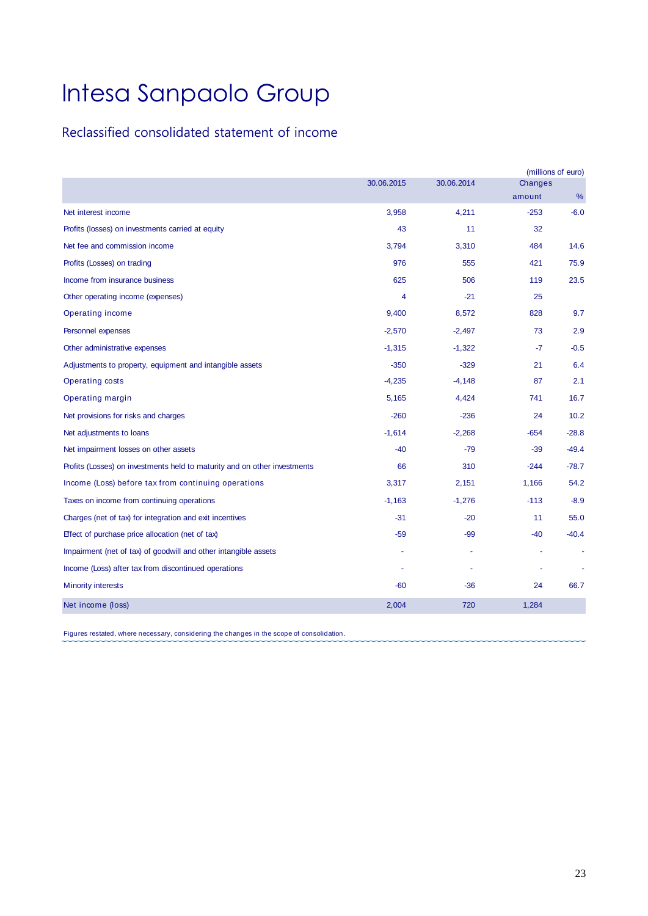### Reclassified consolidated statement of income

|                                                                           |            |            |         | (millions of euro) |
|---------------------------------------------------------------------------|------------|------------|---------|--------------------|
|                                                                           | 30.06.2015 | 30.06.2014 | Changes |                    |
|                                                                           |            |            | amount  | %                  |
| Net interest income                                                       | 3,958      | 4,211      | $-253$  | $-6.0$             |
| Profits (losses) on investments carried at equity                         | 43         | 11         | 32      |                    |
| Net fee and commission income                                             | 3,794      | 3,310      | 484     | 14.6               |
| Profits (Losses) on trading                                               | 976        | 555        | 421     | 75.9               |
| Income from insurance business                                            | 625        | 506        | 119     | 23.5               |
| Other operating income (expenses)                                         | 4          | $-21$      | 25      |                    |
| Operating income                                                          | 9,400      | 8,572      | 828     | 9.7                |
| <b>Personnel expenses</b>                                                 | $-2,570$   | $-2,497$   | 73      | 2.9                |
| Other administrative expenses                                             | $-1,315$   | $-1,322$   | $-7$    | $-0.5$             |
| Adjustments to property, equipment and intangible assets                  | $-350$     | $-329$     | 21      | 6.4                |
| Operating costs                                                           | $-4,235$   | $-4,148$   | 87      | 2.1                |
| <b>Operating margin</b>                                                   | 5,165      | 4,424      | 741     | 16.7               |
| Net provisions for risks and charges                                      | $-260$     | $-236$     | 24      | 10.2               |
| Net adjustments to loans                                                  | $-1,614$   | $-2,268$   | $-654$  | $-28.8$            |
| Net impairment losses on other assets                                     | $-40$      | $-79$      | $-39$   | $-49.4$            |
| Profits (Losses) on investments held to maturity and on other investments | 66         | 310        | $-244$  | $-78.7$            |
| Income (Loss) before tax from continuing operations                       | 3,317      | 2,151      | 1,166   | 54.2               |
| Taxes on income from continuing operations                                | $-1,163$   | $-1,276$   | $-113$  | $-8.9$             |
| Charges (net of tax) for integration and exit incentives                  | $-31$      | $-20$      | 11      | 55.0               |
| Effect of purchase price allocation (net of tax)                          | $-59$      | $-99$      | $-40$   | $-40.4$            |
| Impairment (net of tax) of goodwill and other intangible assets           |            |            |         |                    |
| Income (Loss) after tax from discontinued operations                      |            |            |         |                    |
| <b>Minority interests</b>                                                 | $-60$      | -36        | 24      | 66.7               |
| Net income (loss)                                                         | 2,004      | 720        | 1,284   |                    |

Figures restated, where necessary, considering the changes in the scope of consolidation.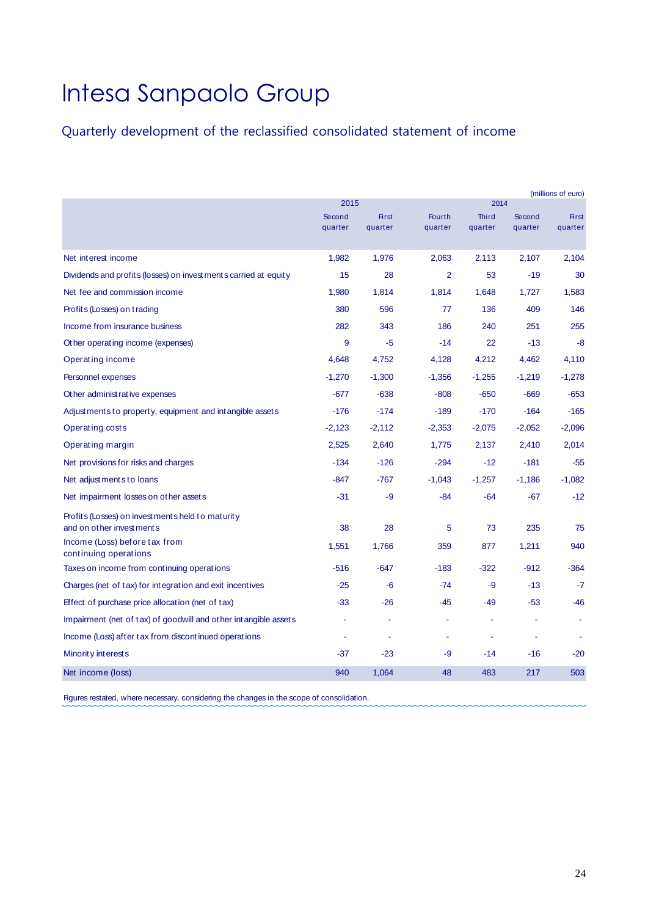## Quarterly development of the reclassified consolidated statement of income

|                                                                 |                   |                         |                   |                         |                   | (millions of euro)      |
|-----------------------------------------------------------------|-------------------|-------------------------|-------------------|-------------------------|-------------------|-------------------------|
|                                                                 | 2015              |                         |                   | 2014                    |                   |                         |
|                                                                 | Second<br>quarter | <b>First</b><br>quarter | Fourth<br>quarter | <b>Third</b><br>quarter | Second<br>quarter | <b>First</b><br>quarter |
|                                                                 |                   |                         |                   |                         |                   |                         |
| Net interest income                                             | 1,982             | 1,976                   | 2,063             | 2,113                   | 2,107             | 2,104                   |
| Dividends and profits (losses) on investments carried at equity | 15                | 28                      | $\overline{2}$    | 53                      | $-19$             | 30                      |
| Net fee and commission income                                   | 1,980             | 1,814                   | 1,814             | 1,648                   | 1,727             | 1,583                   |
| Profits (Losses) on trading                                     | 380               | 596                     | 77                | 136                     | 409               | 146                     |
| Income from insurance business                                  | 282               | 343                     | 186               | 240                     | 251               | 255                     |
| Other operating income (expenses)                               | 9                 | $-5$                    | $-14$             | 22                      | $-13$             | $-8$                    |
| Operating income                                                | 4,648             | 4,752                   | 4,128             | 4,212                   | 4,462             | 4,110                   |
| Personnel expenses                                              | $-1,270$          | $-1,300$                | $-1,356$          | $-1,255$                | $-1,219$          | $-1,278$                |
| Other administ rative expenses                                  | $-677$            | $-638$                  | $-808$            | $-650$                  | $-669$            | $-653$                  |
| Adjustments to property, equipment and intangible assets        | $-176$            | $-174$                  | $-189$            | $-170$                  | $-164$            | $-165$                  |
| Operating costs                                                 | $-2,123$          | $-2,112$                | $-2,353$          | $-2,075$                | $-2,052$          | $-2,096$                |
| Operating margin                                                | 2,525             | 2,640                   | 1,775             | 2,137                   | 2,410             | 2,014                   |
| Net provisions for risks and charges                            | $-134$            | $-126$                  | $-294$            | $-12$                   | $-181$            | $-55$                   |
| Net adjustments to loans                                        | $-847$            | $-767$                  | $-1,043$          | $-1,257$                | $-1,186$          | $-1,082$                |
| Net impairment losses on other assets                           | $-31$             | -9                      | $-84$             | $-64$                   | $-67$             | $-12$                   |
| Profits (Losses) on investments held to maturity                |                   |                         |                   |                         |                   |                         |
| and on other investments                                        | 38                | 28                      | 5                 | 73                      | 235               | 75                      |
| Income (Loss) before tax from<br>continuing operations          | 1,551             | 1,766                   | 359               | 877                     | 1,211             | 940                     |
| Taxes on income from continuing operations                      | $-516$            | $-647$                  | $-183$            | $-322$                  | $-912$            | $-364$                  |
| Charges (net of tax) for integration and exit incentives        | $-25$             | -6                      | $-74$             | -9                      | $-13$             | $-7$                    |
| Effect of purchase price allocation (net of tax)                | $-33$             | $-26$                   | -45               | -49                     | $-53$             | $-46$                   |
| Impairment (net of tax) of goodwill and other intangible assets |                   |                         |                   |                         |                   |                         |
| Income (Loss) after tax from discontinued operations            |                   |                         |                   | ٠                       |                   |                         |
| Minority interests                                              | $-37$             | $-23$                   | -9                | $-14$                   | $-16$             | $-20$                   |
| Net income (loss)                                               | 940               | 1,064                   | 48                | 483                     | 217               | 503                     |

Figures restated, where necessary, considering the changes in the scope of consolidation.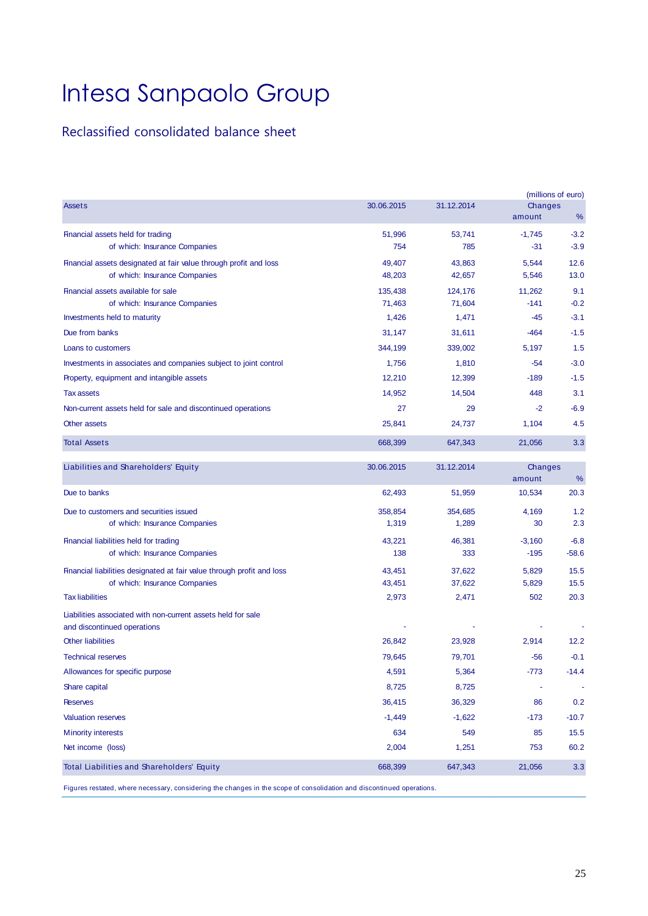### Reclassified consolidated balance sheet

|                                                                                                    |                   |                   |                    | (millions of euro) |
|----------------------------------------------------------------------------------------------------|-------------------|-------------------|--------------------|--------------------|
| <b>Assets</b>                                                                                      | 30.06.2015        | 31.12.2014        | Changes<br>amount  | %                  |
| Financial assets held for trading<br>of which: Insurance Companies                                 | 51,996<br>754     | 53.741<br>785     | $-1,745$<br>$-31$  | $-3.2$<br>$-3.9$   |
| Financial assets designated at fair value through profit and loss<br>of which: Insurance Companies | 49,407<br>48,203  | 43,863<br>42,657  | 5,544<br>5,546     | 12.6<br>13.0       |
| Financial assets available for sale<br>of which: Insurance Companies                               | 135,438<br>71,463 | 124,176<br>71,604 | 11,262<br>$-141$   | 9.1<br>$-0.2$      |
| Investments held to maturity                                                                       | 1,426             | 1,471             | $-45$              | $-3.1$             |
| Due from banks                                                                                     | 31,147            | 31,611            | $-464$             | $-1.5$             |
| Loans to customers                                                                                 | 344,199           | 339,002           | 5,197              | 1.5                |
| Investments in associates and companies subject to joint control                                   | 1,756             | 1,810             | $-54$              | $-3.0$             |
| Property, equipment and intangible assets                                                          | 12,210            | 12,399            | $-189$             | $-1.5$             |
| <b>Tax assets</b>                                                                                  | 14,952            | 14,504            | 448                | 3.1                |
| Non-current assets held for sale and discontinued operations                                       | 27                | 29                | $-2$               | $-6.9$             |
| Other assets                                                                                       | 25,841            | 24,737            | 1,104              | 4.5                |
| <b>Total Assets</b>                                                                                | 668,399           | 647,343           | 21,056             | 3.3                |
| Liabilities and Shareholders' Equity                                                               | 30.06.2015        | 31.12.2014        | Changes<br>amount  | %                  |
| Due to banks                                                                                       | 62,493            | 51,959            | 10,534             | 20.3               |
| Due to customers and securities issued<br>of which: Insurance Companies                            | 358,854<br>1,319  | 354,685<br>1,289  | 4,169<br>30        | 1.2<br>2.3         |
| Financial liabilities held for trading<br>of which: Insurance Companies                            | 43,221<br>138     | 46,381<br>333     | $-3,160$<br>$-195$ | $-6.8$<br>$-58.6$  |
| Financial liabilities designated at fair value through profit and loss                             | 43,451            | 37,622            | 5,829              | 15.5               |
| of which: Insurance Companies                                                                      | 43,451            | 37,622            | 5,829              | 15.5               |
| <b>Tax liabilities</b>                                                                             | 2,973             | 2,471             | 502                | 20.3               |
| Liabilities associated with non-current assets held for sale<br>and discontinued operations        |                   |                   |                    |                    |
| <b>Other liabilities</b>                                                                           | 26,842            | 23,928            | 2,914              | 12.2               |
| <b>Technical reserves</b>                                                                          | 79,645            | 79,701            | -56                | $-0.1$             |
| Allowances for specific purpose                                                                    | 4,591             | 5,364             | $-773$             | $-14.4$            |
| Share capital                                                                                      | 8,725             | 8,725             |                    |                    |
| <b>Reserves</b>                                                                                    | 36,415            | 36,329            | 86                 | 0.2                |
| <b>Valuation reserves</b>                                                                          | $-1,449$          | $-1,622$          | $-173$             | $-10.7$            |
| <b>Minority interests</b>                                                                          | 634               | 549               | 85                 | 15.5               |
| Net income (loss)                                                                                  | 2,004             | 1,251             | 753                | 60.2               |
| Total Liabilities and Shareholders' Equity                                                         | 668,399           | 647,343           | 21,056             | 3.3                |
|                                                                                                    |                   |                   |                    |                    |

Figures restated, where necessary, considering the changes in the scope of consolidation and discontinued operations.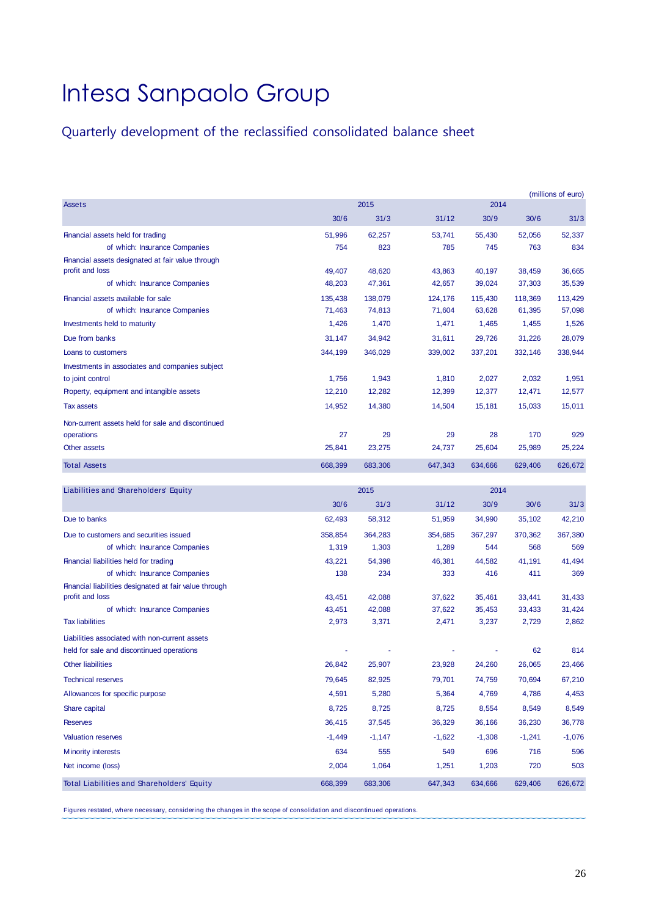## Quarterly development of the reclassified consolidated balance sheet

|                                                   |         |         |         |         |         | (millions of euro) |
|---------------------------------------------------|---------|---------|---------|---------|---------|--------------------|
| <b>Assets</b>                                     |         | 2015    |         | 2014    |         |                    |
|                                                   | 30/6    | 31/3    | 31/12   | 30/9    | 30/6    | 31/3               |
| Financial assets held for trading                 | 51,996  | 62,257  | 53.741  | 55.430  | 52,056  | 52,337             |
| of which: Insurance Companies                     | 754     | 823     | 785     | 745     | 763     | 834                |
| Financial assets designated at fair value through |         |         |         |         |         |                    |
| profit and loss                                   | 49,407  | 48,620  | 43,863  | 40,197  | 38,459  | 36,665             |
| of which: Insurance Companies                     | 48,203  | 47,361  | 42.657  | 39,024  | 37,303  | 35,539             |
| Financial assets available for sale               | 135,438 | 138,079 | 124,176 | 115,430 | 118,369 | 113,429            |
| of which: Insurance Companies                     | 71,463  | 74,813  | 71,604  | 63,628  | 61,395  | 57,098             |
| Investments held to maturity                      | 1.426   | 1,470   | 1,471   | 1,465   | 1,455   | 1,526              |
| Due from banks                                    | 31,147  | 34,942  | 31.611  | 29,726  | 31,226  | 28,079             |
| Loans to customers                                | 344,199 | 346,029 | 339,002 | 337,201 | 332,146 | 338,944            |
| Investments in associates and companies subject   |         |         |         |         |         |                    |
| to joint control                                  | 1.756   | 1,943   | 1,810   | 2,027   | 2,032   | 1,951              |
| Property, equipment and intangible assets         | 12,210  | 12,282  | 12,399  | 12,377  | 12,471  | 12,577             |
| <b>Tax assets</b>                                 | 14,952  | 14,380  | 14,504  | 15,181  | 15,033  | 15,011             |
| Non-current assets held for sale and discontinued |         |         |         |         |         |                    |
| operations                                        | 27      | 29      | 29      | 28      | 170     | 929                |
| Other assets                                      | 25,841  | 23,275  | 24,737  | 25,604  | 25,989  | 25,224             |
| <b>Total Assets</b>                               | 668,399 | 683,306 | 647,343 | 634,666 | 629,406 | 626,672            |
|                                                   |         |         |         |         |         |                    |

| Liabilities and Shareholders' Equity                   |          | 2015     |          | 2014     |          |          |  |
|--------------------------------------------------------|----------|----------|----------|----------|----------|----------|--|
|                                                        | 30/6     | 31/3     | 31/12    | 30/9     | 30/6     | 31/3     |  |
| Due to banks                                           | 62,493   | 58,312   | 51,959   | 34,990   | 35,102   | 42,210   |  |
| Due to customers and securities issued                 | 358.854  | 364,283  | 354.685  | 367.297  | 370,362  | 367,380  |  |
| of which: Insurance Companies                          | 1,319    | 1,303    | 1,289    | 544      | 568      | 569      |  |
| Financial liabilities held for trading                 | 43,221   | 54,398   | 46,381   | 44,582   | 41,191   | 41,494   |  |
| of which: Insurance Companies                          | 138      | 234      | 333      | 416      | 411      | 369      |  |
| Financial liabilities designated at fair value through |          |          |          |          |          |          |  |
| profit and loss                                        | 43,451   | 42,088   | 37,622   | 35,461   | 33,441   | 31,433   |  |
| of which: Insurance Companies                          | 43,451   | 42,088   | 37,622   | 35,453   | 33,433   | 31,424   |  |
| <b>Tax liabilities</b>                                 | 2,973    | 3,371    | 2,471    | 3,237    | 2,729    | 2,862    |  |
| Liabilities associated with non-current assets         |          |          |          |          |          |          |  |
| held for sale and discontinued operations              |          |          |          |          | 62       | 814      |  |
| <b>Other liabilities</b>                               | 26,842   | 25,907   | 23,928   | 24,260   | 26,065   | 23,466   |  |
| <b>Technical reserves</b>                              | 79,645   | 82,925   | 79,701   | 74,759   | 70,694   | 67,210   |  |
| Allowances for specific purpose                        | 4,591    | 5,280    | 5,364    | 4,769    | 4,786    | 4,453    |  |
| Share capital                                          | 8,725    | 8,725    | 8,725    | 8,554    | 8,549    | 8,549    |  |
| <b>Reserves</b>                                        | 36,415   | 37,545   | 36,329   | 36,166   | 36,230   | 36,778   |  |
| <b>Valuation reserves</b>                              | $-1,449$ | $-1,147$ | $-1,622$ | $-1,308$ | $-1,241$ | $-1,076$ |  |
| <b>Minority interests</b>                              | 634      | 555      | 549      | 696      | 716      | 596      |  |
| Net income (loss)                                      | 2,004    | 1,064    | 1,251    | 1,203    | 720      | 503      |  |
| Total Liabilities and Shareholders' Equity             | 668,399  | 683,306  | 647,343  | 634,666  | 629,406  | 626,672  |  |

Figures restated, where necessary, considering the changes in the scope of consolidation and discontinued operations.